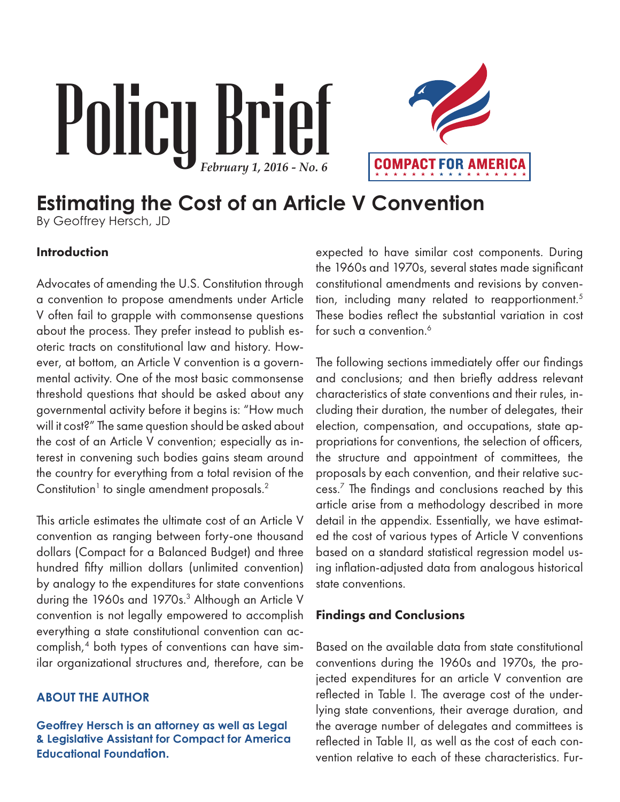# Policy Brief *February 1, 2016 - No. 6*



# **Estimating the Cost of an Article V Convention**

By Geoffrey Hersch, JD

### Introduction

Advocates of amending the U.S. Constitution through a convention to propose amendments under Article V often fail to grapple with commonsense questions about the process. They prefer instead to publish esoteric tracts on constitutional law and history. However, at bottom, an Article V convention is a governmental activity. One of the most basic commonsense threshold questions that should be asked about any governmental activity before it begins is: "How much will it cost?" The same question should be asked about the cost of an Article V convention; especially as interest in convening such bodies gains steam around the country for everything from a total revision of the Constitution<sup>1</sup> to single amendment proposals.<sup>2</sup>

This article estimates the ultimate cost of an Article V convention as ranging between forty-one thousand dollars (Compact for a Balanced Budget) and three hundred fifty million dollars (unlimited convention) by analogy to the expenditures for state conventions during the 1960s and 1970s.<sup>3</sup> Although an Article V convention is not legally empowered to accomplish everything a state constitutional convention can accomplish,4 both types of conventions can have similar organizational structures and, therefore, can be

### **ABOUT THE AUTHOR**

**Geoffrey Hersch is an attorney as well as Legal & Legislative Assistant for Compact for America Educational Foundation.**

expected to have similar cost components. During the 1960s and 1970s, several states made significant constitutional amendments and revisions by convention, including many related to reapportionment.5 These bodies reflect the substantial variation in cost for such a convention.<sup>6</sup>

The following sections immediately offer our findings and conclusions; and then briefly address relevant characteristics of state conventions and their rules, including their duration, the number of delegates, their election, compensation, and occupations, state appropriations for conventions, the selection of officers, the structure and appointment of committees, the proposals by each convention, and their relative success.7 The findings and conclusions reached by this article arise from a methodology described in more detail in the appendix. Essentially, we have estimated the cost of various types of Article V conventions based on a standard statistical regression model using inflation-adjusted data from analogous historical state conventions.

### Findings and Conclusions

Based on the available data from state constitutional conventions during the 1960s and 1970s, the projected expenditures for an article V convention are reflected in Table I. The average cost of the underlying state conventions, their average duration, and the average number of delegates and committees is reflected in Table II, as well as the cost of each convention relative to each of these characteristics. Fur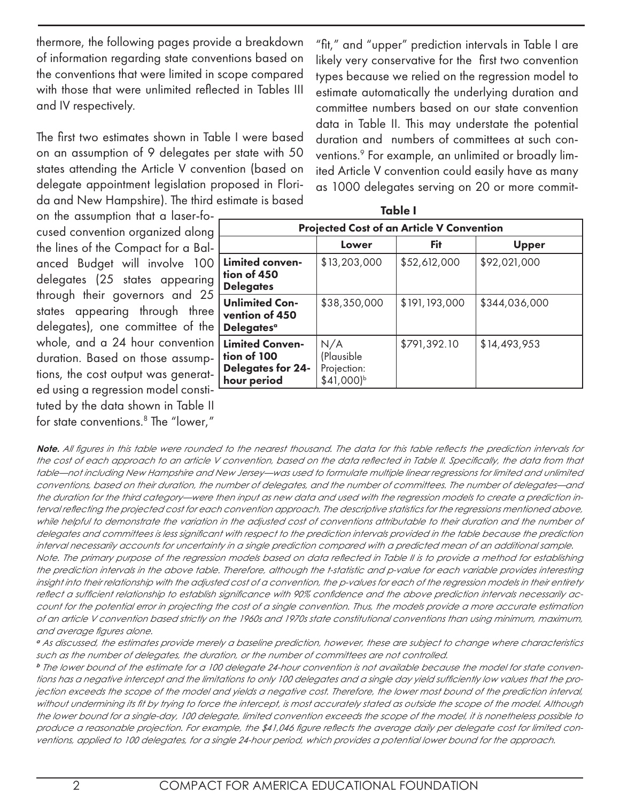thermore, the following pages provide a breakdown of information regarding state conventions based on the conventions that were limited in scope compared with those that were unlimited reflected in Tables III and IV respectively.

The first two estimates shown in Table I were based on an assumption of 9 delegates per state with 50 states attending the Article V convention (based on delegate appointment legislation proposed in Florida and New Hampshire). The third estimate is based

on the assumption that a laser-focused convention organized along the lines of the Compact for a Balanced Budget will involve 100 delegates (25 states appearing through their governors and 25 states appearing through three delegates), one committee of the whole, and a 24 hour convention duration. Based on those assumptions, the cost output was generated using a regression model constituted by the data shown in Table II for state conventions.8 The "lower," "fit," and "upper" prediction intervals in Table I are likely very conservative for the first two convention types because we relied on the regression model to estimate automatically the underlying duration and committee numbers based on our state convention data in Table II. This may understate the potential duration and numbers of committees at such conventions.9 For example, an unlimited or broadly limited Article V convention could easily have as many as 1000 delegates serving on 20 or more commit-

| <b>Projected Cost of an Article V Convention</b>                          |                                                            |               |               |  |  |  |  |  |
|---------------------------------------------------------------------------|------------------------------------------------------------|---------------|---------------|--|--|--|--|--|
|                                                                           | Lower                                                      | Fit           | <b>Upper</b>  |  |  |  |  |  |
| Limited conven-<br>tion of 450<br><b>Delegates</b>                        | \$13,203,000                                               | \$52,612,000  | \$92,021,000  |  |  |  |  |  |
| <b>Unlimited Con-</b><br>vention of 450<br><b>Delegates</b> a             | \$38,350,000                                               | \$191,193,000 | \$344,036,000 |  |  |  |  |  |
| <b>Limited Conven-</b><br>tion of 100<br>Delegates for 24-<br>hour period | N/A<br>(Plausible<br>Projection:<br>$$41,000$ <sup>b</sup> | \$791,392.10  | \$14,493,953  |  |  |  |  |  |

**Note.** *All figures in this table were rounded to the nearest thousand. The data for this table reflects the prediction intervals for the cost of each approach to an article V convention, based on the data reflected in Table II. Specifically, the data from that table—not including New Hampshire and New Jersey—was used to formulate multiple linear regressions for limited and unlimited conventions, based on their duration, the number of delegates, and the number of committees. The number of delegates—and the duration for the third category—were then input as new data and used with the regression models to create a prediction interval reflecting the projected cost for each convention approach. The descriptive statistics for the regressions mentioned above,*  while helpful to demonstrate the variation in the adjusted cost of conventions attributable to their duration and the number of *delegates and committees is less significant with respect to the prediction intervals provided in the table because the prediction interval necessarily accounts for uncertainty in a single prediction compared with a predicted mean of an additional sample. Note. The primary purpose of the regression models based on data reflected in Table II is to provide a method for establishing the prediction intervals in the above table. Therefore, although the t-statistic and p-value for each variable provides interesting insight into their relationship with the adjusted cost of a convention, the p-values for each of the regression models in their entirety reflect a sufficient relationship to establish significance with 90% confidence and the above prediction intervals necessarily account for the potential error in projecting the cost of a single convention. Thus, the models provide a more accurate estimation of an article V convention based strictly on the 1960s and 1970s state constitutional conventions than using minimum, maximum,* 

*and average figures alone.*

*<sup>a</sup> As discussed, the estimates provide merely a baseline prediction, however, these are subject to change where characteristics such as the number of delegates, the duration, or the number of committees are not controlled.* 

*<sup>b</sup> The lower bound of the estimate for a 100 delegate 24-hour convention is not available because the model for state conventions has a negative intercept and the limitations to only 100 delegates and a single day yield sufficiently low values that the projection exceeds the scope of the model and yields a negative cost. Therefore, the lower most bound of the prediction interval, without undermining its fit by trying to force the intercept, is most accurately stated as outside the scope of the model. Although the lower bound for a single-day, 100 delegate, limited convention exceeds the scope of the model, it is nonetheless possible to produce a reasonable projection. For example, the \$41,046 figure reflects the average daily per delegate cost for limited conventions, applied to 100 delegates, for a single 24-hour period, which provides a potential lower bound for the approach.*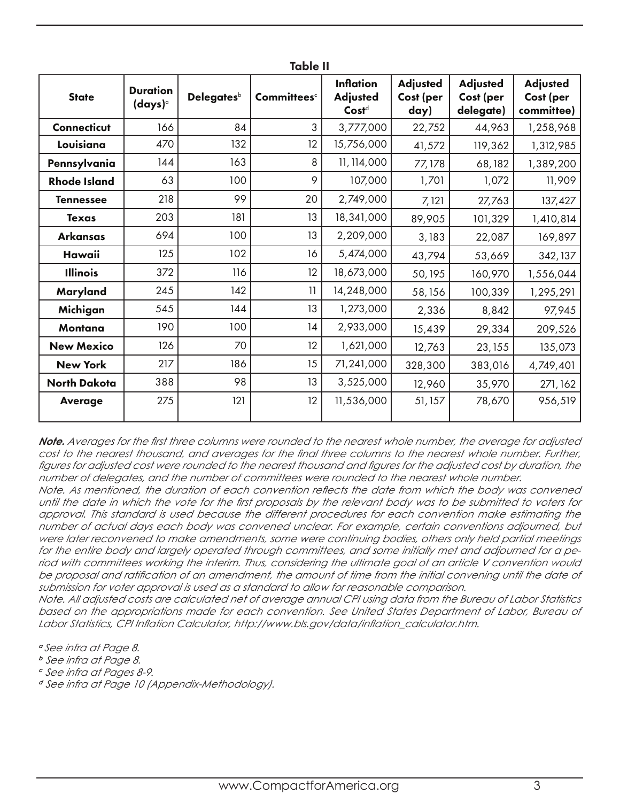| <b>Table II</b>     |                                        |                        |                         |                                                          |                                      |                                           |                                            |  |  |
|---------------------|----------------------------------------|------------------------|-------------------------|----------------------------------------------------------|--------------------------------------|-------------------------------------------|--------------------------------------------|--|--|
| <b>State</b>        | <b>Duration</b><br>(days) <sup>a</sup> | Delegates <sup>b</sup> | Committees <sup>c</sup> | <b>Inflation</b><br><b>Adjusted</b><br>Cost <sup>d</sup> | <b>Adjusted</b><br>Cost (per<br>day) | <b>Adjusted</b><br>Cost (per<br>delegate) | <b>Adjusted</b><br>Cost (per<br>committee) |  |  |
| Connecticut         | 166                                    | 84                     | 3                       | 3,777,000                                                | 22,752                               | 44,963                                    | 1,258,968                                  |  |  |
| Louisiana           | 470                                    | 132                    | 12                      | 15,756,000                                               | 41,572                               | 119,362                                   | 1,312,985                                  |  |  |
| Pennsylvania        | 144                                    | 163                    | 8                       | 11, 114,000                                              | 77,178                               | 68,182                                    | 1,389,200                                  |  |  |
| <b>Rhode Island</b> | 63                                     | 100                    | 9                       | 107,000                                                  | 1,701                                | 1,072                                     | 11,909                                     |  |  |
| <b>Tennessee</b>    | 218                                    | 99                     | 20                      | 2,749,000                                                | 7,121                                | 27,763                                    | 137,427                                    |  |  |
| <b>Texas</b>        | 203                                    | 181                    | 13                      | 18,341,000                                               | 89,905                               | 101,329                                   | 1,410,814                                  |  |  |
| Arkansas            | 694                                    | 100                    | 13                      | 2,209,000                                                | 3,183                                | 22,087                                    | 169,897                                    |  |  |
| Hawaii              | 125                                    | 102                    | 16                      | 5,474,000                                                | 43,794                               | 53,669                                    | 342, 137                                   |  |  |
| <b>Illinois</b>     | 372                                    | 116                    | 12                      | 18,673,000                                               | 50,195                               | 160,970                                   | 1,556,044                                  |  |  |
| Maryland            | 245                                    | 142                    | 11                      | 14,248,000                                               | 58,156                               | 100,339                                   | 1,295,291                                  |  |  |
| Michigan            | 545                                    | 144                    | 13                      | 1,273,000                                                | 2,336                                | 8,842                                     | 97,945                                     |  |  |
| Montana             | 190                                    | 100                    | 14                      | 2,933,000                                                | 15,439                               | 29,334                                    | 209,526                                    |  |  |
| <b>New Mexico</b>   | 126                                    | 70                     | 12                      | 1,621,000                                                | 12,763                               | 23, 155                                   | 135,073                                    |  |  |
| <b>New York</b>     | 217                                    | 186                    | 15                      | 71,241,000                                               | 328,300                              | 383,016                                   | 4,749,401                                  |  |  |
| <b>North Dakota</b> | 388                                    | 98                     | 13                      | 3,525,000                                                | 12,960                               | 35,970                                    | 271, 162                                   |  |  |
| <b>Average</b>      | 275                                    | 121                    | 12                      | 11,536,000                                               | 51, 157                              | 78,670                                    | 956,519                                    |  |  |

*Note. Averages for the first three columns were rounded to the nearest whole number, the average for adjusted cost to the nearest thousand, and averages for the final three columns to the nearest whole number. Further,*  figures for adjusted cost were rounded to the nearest thousand and figures for the adjusted cost by duration, the *number of delegates, and the number of committees were rounded to the nearest whole number.*

*Note. As mentioned, the duration of each convention reflects the date from which the body was convened until the date in which the vote for the first proposals by the relevant body was to be submitted to voters for approval. This standard is used because the different procedures for each convention make estimating the number of actual days each body was convened unclear. For example, certain conventions adjourned, but were later reconvened to make amendments, some were continuing bodies, others only held partial meetings for the entire body and largely operated through committees, and some initially met and adjourned for a period with committees working the interim. Thus, considering the ultimate goal of an article V convention would*  be proposal and ratification of an amendment, the amount of time from the initial convening until the date of *submission for voter approval is used as a standard to allow for reasonable comparison.*

*Note. All adjusted costs are calculated net of average annual CPI using data from the Bureau of Labor Statistics based on the appropriations made for each convention. See United States Department of Labor, Bureau of Labor Statistics, CPI Inflation Calculator, http://www.bls.gov/data/inflation\_calculator.htm.*

*<sup>a</sup> See infra at Page 8.*

- *<sup>b</sup> See infra at Page 8.*
- *<sup>c</sup> See infra at Pages 8-9.*

*<sup>d</sup> See infra at Page 10 (Appendix-Methodology).*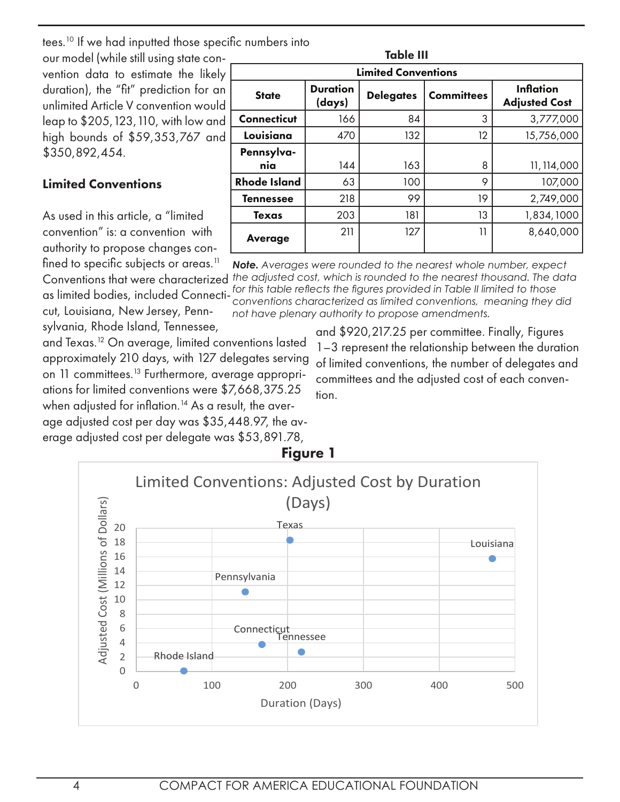tees.10 If we had inputted those specific numbers into

our model (while still using state convention data to estimate the likely duration), the "fit" prediction for an unlimited Article V convention would leap to \$205,123,110, with low and high bounds of \$59,353,767 and \$350,892,454.

### Limited Conventions

As used in this article, a "limited convention" is: a convention with authority to propose changes confined to specific subjects or areas.<sup>11</sup>

cut, Louisiana, New Jersey, Pennsylvania, Rhode Island, Tennessee,

Table III Limited Conventions State Duration<br>(days)  $\left\langle \mathrm{days}\right\rangle$  Delegates Committees Adjusted Committees Adjusted Co Adjusted Cost **Connecticut** 166 84 3 3,777,000 **Louisiana**  $\begin{vmatrix} 470 & 132 & 12 \end{vmatrix}$  15,756,000 Pennsylva**nia** | 144 | 163 | 8 11,114,000 **Rhode Island**  $\begin{array}{ccc} 63 & 100 & 9 & 107,000 \end{array}$ **Tennessee** 218 99 19 2,749,000 **Texas**  $\begin{vmatrix} 203 & 181 & 13 & 1,834,1000 \end{vmatrix}$ **Average 211 127 11 8,640,000** 

Conventions that were characterized *the adjusted cost, which is rounded to the nearest thousand. The data*  as limited bodies, included Connecti-*for this table reflects the figures provided in Table II limited to those Note. Averages were rounded to the nearest whole number, expect conventions characterized as limited conventions, meaning they did not have plenary authority to propose amendments.*

and Texas.12 On average, limited conventions lasted approximately 210 days, with 127 delegates serving on 11 committees.<sup>13</sup> Furthermore, average appropriations for limited conventions were \$7,668,375.25 when adjusted for inflation.<sup>14</sup> As a result, the average adjusted cost per day was \$35,448.97, the average adjusted cost per delegate was \$53,891.78,

and \$920,217.25 per committee. Finally, Figures 1–3 represent the relationship between the duration of limited conventions, the number of delegates and committees and the adjusted cost of each convention.

Figure 1 Limited Conventions: Adjusted Cost by Duration (Days)Adjusted Cost (Millions of Dollars) Adjusted Cost (Millions of Dollars) Texas 20 18 Louisiana 16 14 Pennsylvania 12 O 10 8 6 Connecticut Tennessee 4 2 Rhode Island 0 0 100 200 300 400 500 Duration (Days)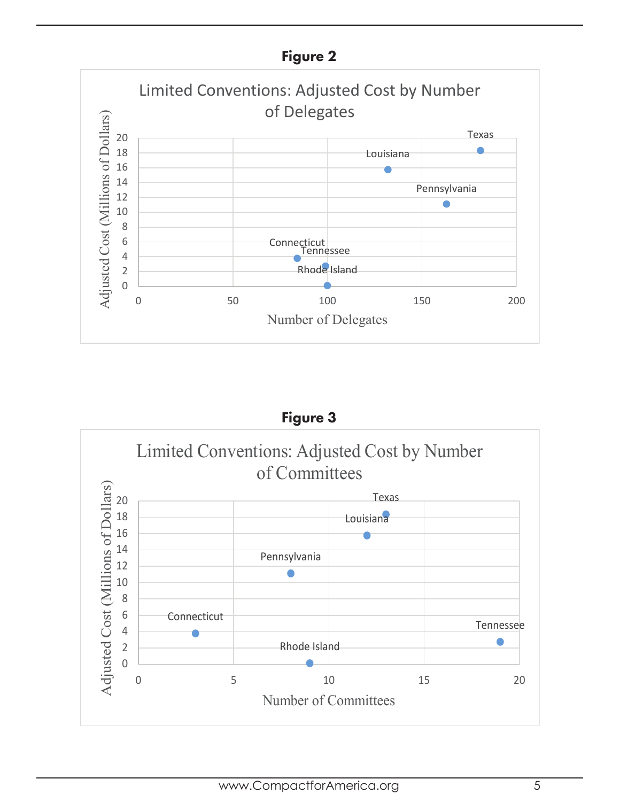

Figure 3 Limited Conventions: Adjusted Cost by Number of CommitteesAdjusted Cost (Millions of Dollars) Adjusted Cost (Millions of Dollars) Texas 20 18 Louisiana 16 14 Pennsylvania 12  $\bullet$ 10 8 6 Connecticut Tennessee 4 2 Rhode Island 0 0 5 10 15 20 Number of Committees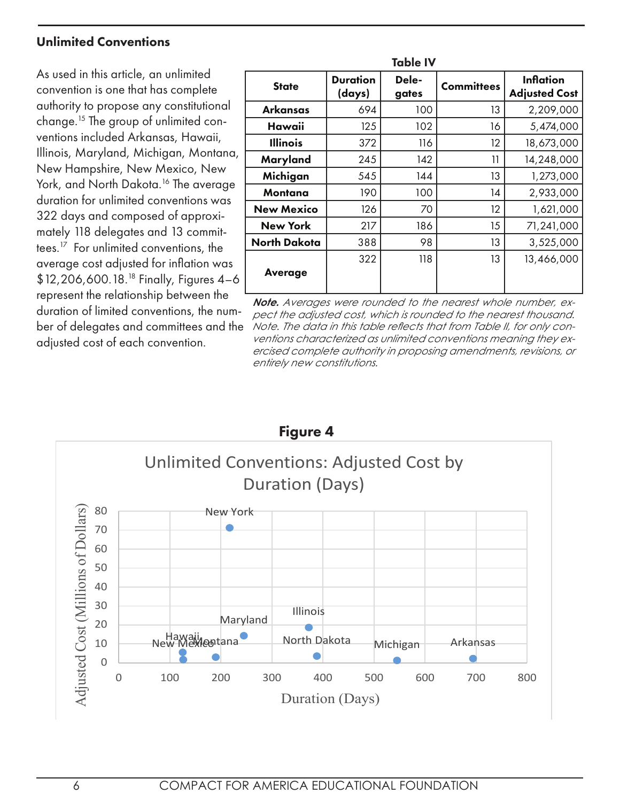### Unlimited Conventions

As used in this article, an unlimited convention is one that has complete authority to propose any constitutional change.15 The group of unlimited conventions included Arkansas, Hawaii, Illinois, Maryland, Michigan, Montana, New Hampshire, New Mexico, New York, and North Dakota.<sup>16</sup> The average duration for unlimited conventions was 322 days and composed of approximately 118 delegates and 13 committees.17 For unlimited conventions, the average cost adjusted for inflation was \$12,206,600.18.18 Finally, Figures 4–6 represent the relationship between the duration of limited conventions, the number of delegates and committees and the adjusted cost of each convention.

| <b>Table IV</b>     |                           |                |                   |                                          |  |  |  |  |
|---------------------|---------------------------|----------------|-------------------|------------------------------------------|--|--|--|--|
| <b>State</b>        | <b>Duration</b><br>(days) | Dele-<br>gates | <b>Committees</b> | <b>Inflation</b><br><b>Adjusted Cost</b> |  |  |  |  |
| Arkansas            | 694                       | 100            | 13                | 2,209,000                                |  |  |  |  |
| Hawaii              | 125                       | 102            | 16                | 5,474,000                                |  |  |  |  |
| <b>Illinois</b>     | 372                       | 116            | 12                | 18,673,000                               |  |  |  |  |
| Maryland            | 245                       | 142            | 11                | 14,248,000                               |  |  |  |  |
| Michigan            | 545                       | 144            | 13                | 1,273,000                                |  |  |  |  |
| Montana             | 190                       | 100            | 14                | 2,933,000                                |  |  |  |  |
| <b>New Mexico</b>   | 126                       | 70             | 12                | 1,621,000                                |  |  |  |  |
| New York            | 217                       | 186            | 15                | 71,241,000                               |  |  |  |  |
| <b>North Dakota</b> | 388                       | 98             | 13                | 3,525,000                                |  |  |  |  |
| <b>Average</b>      | 322                       | 118            | 13                | 13,466,000                               |  |  |  |  |
|                     |                           |                |                   |                                          |  |  |  |  |

*Note. Averages were rounded to the nearest whole number, expect the adjusted cost, which is rounded to the nearest thousand. Note. The data in this table reflects that from Table II, for only conventions characterized as unlimited conventions meaning they exercised complete authority in proposing amendments, revisions, or entirely new constitutions.*

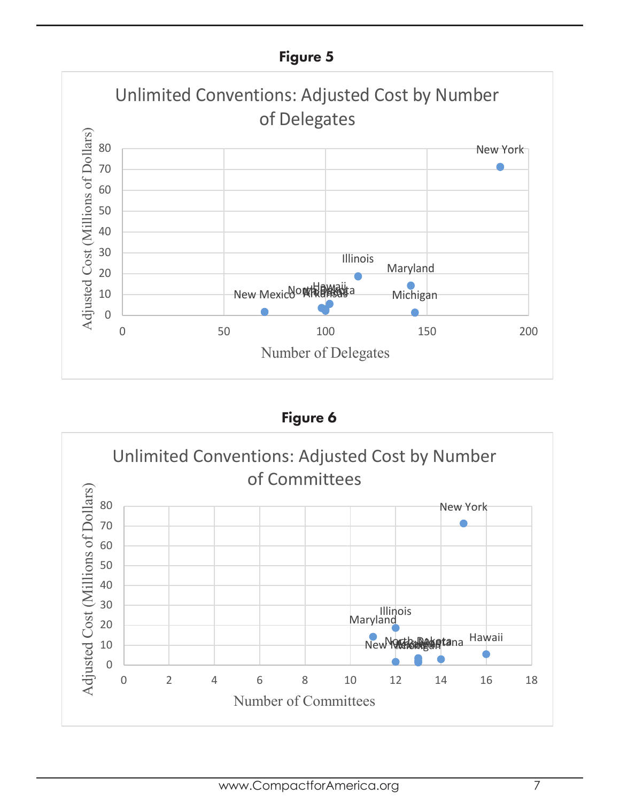### Figure 5



Figure 6

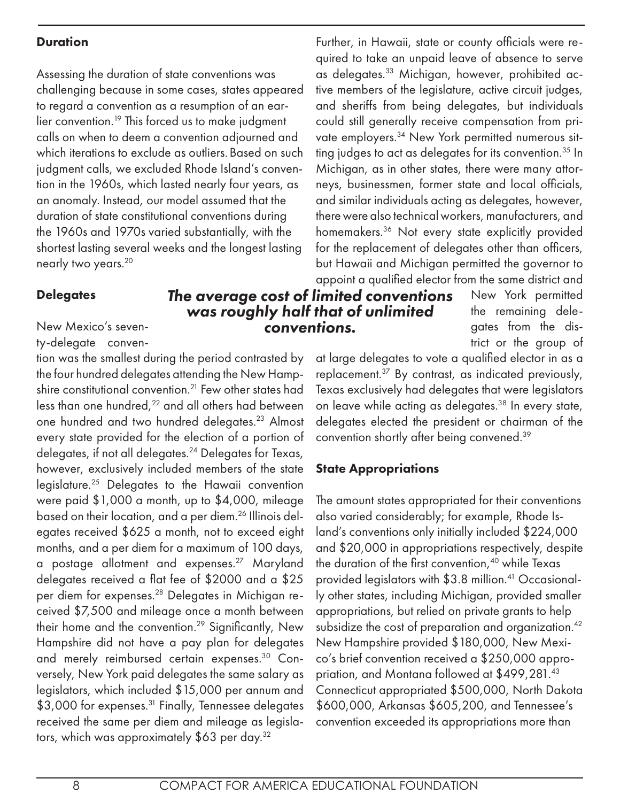### **Duration**

Assessing the duration of state conventions was challenging because in some cases, states appeared to regard a convention as a resumption of an earlier convention.<sup>19</sup> This forced us to make judgment calls on when to deem a convention adjourned and which iterations to exclude as outliers. Based on such judgment calls, we excluded Rhode Island's convention in the 1960s, which lasted nearly four years, as an anomaly. Instead, our model assumed that the duration of state constitutional conventions during the 1960s and 1970s varied substantially, with the shortest lasting several weeks and the longest lasting nearly two years.20

### **Delegates**

### New Mexico's seven-

ty-delegate conven-

tion was the smallest during the period contrasted by the four hundred delegates attending the New Hampshire constitutional convention.<sup>21</sup> Few other states had less than one hundred,<sup>22</sup> and all others had between one hundred and two hundred delegates.23 Almost every state provided for the election of a portion of delegates, if not all delegates.24 Delegates for Texas, however, exclusively included members of the state legislature.25 Delegates to the Hawaii convention were paid \$1,000 a month, up to \$4,000, mileage based on their location, and a per diem.<sup>26</sup> Illinois delegates received \$625 a month, not to exceed eight months, and a per diem for a maximum of 100 days, a postage allotment and expenses.27 Maryland delegates received a flat fee of \$2000 and a \$25 per diem for expenses.<sup>28</sup> Delegates in Michigan received \$7,500 and mileage once a month between their home and the convention.<sup>29</sup> Significantly, New Hampshire did not have a pay plan for delegates and merely reimbursed certain expenses.30 Conversely, New York paid delegates the same salary as legislators, which included \$15,000 per annum and \$3,000 for expenses.<sup>31</sup> Finally, Tennessee delegates received the same per diem and mileage as legislators, which was approximately \$63 per day.<sup>32</sup>

Further, in Hawaii, state or county officials were required to take an unpaid leave of absence to serve as delegates.<sup>33</sup> Michigan, however, prohibited active members of the legislature, active circuit judges, and sheriffs from being delegates, but individuals could still generally receive compensation from private employers.<sup>34</sup> New York permitted numerous sitting judges to act as delegates for its convention.<sup>35</sup> In Michigan, as in other states, there were many attorneys, businessmen, former state and local officials, and similar individuals acting as delegates, however, there were also technical workers, manufacturers, and homemakers.<sup>36</sup> Not every state explicitly provided for the replacement of delegates other than officers, but Hawaii and Michigan permitted the governor to appoint a qualified elector from the same district and

## *The average cost of limited conventions was roughly half that of unlimited conventions.*

New York permitted the remaining delegates from the district or the group of

at large delegates to vote a qualified elector in as a replacement.37 By contrast, as indicated previously, Texas exclusively had delegates that were legislators on leave while acting as delegates.38 In every state, delegates elected the president or chairman of the convention shortly after being convened.39

### State Appropriations

The amount states appropriated for their conventions also varied considerably; for example, Rhode Island's conventions only initially included \$224,000 and \$20,000 in appropriations respectively, despite the duration of the first convention,<sup>40</sup> while Texas provided legislators with \$3.8 million.<sup>41</sup> Occasionally other states, including Michigan, provided smaller appropriations, but relied on private grants to help subsidize the cost of preparation and organization.<sup>42</sup> New Hampshire provided \$180,000, New Mexico's brief convention received a \$250,000 appropriation, and Montana followed at \$499,281.43 Connecticut appropriated \$500,000, North Dakota \$600,000, Arkansas \$605,200, and Tennessee's convention exceeded its appropriations more than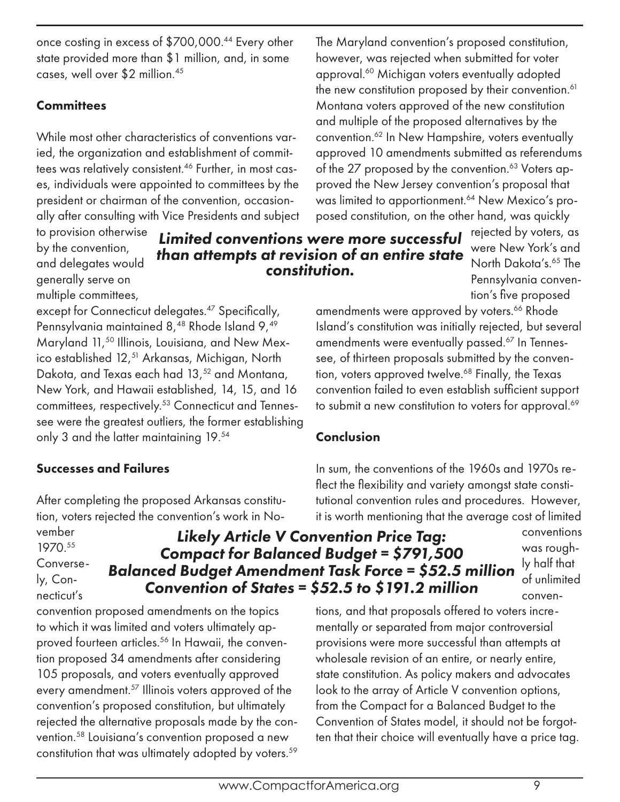once costing in excess of \$700,000.44 Every other state provided more than \$1 million, and, in some cases, well over \$2 million.45

### **Committees**

While most other characteristics of conventions varied, the organization and establishment of committees was relatively consistent.46 Further, in most cases, individuals were appointed to committees by the president or chairman of the convention, occasionally after consulting with Vice Presidents and subject

to provision otherwise by the convention, and delegates would generally serve on multiple committees,

*Limited conventions were more successful than attempts at revision of an entire state constitution.*

posed constitution, on the other hand, was quickly rejected by voters, as were New York's and North Dakota's.65 The Pennsylvania convention's five proposed amendments were approved by voters.<sup>66</sup> Rhode

except for Connecticut delegates.<sup>47</sup> Specifically, Pennsylvania maintained 8,<sup>48</sup> Rhode Island 9,<sup>49</sup> Maryland 11,<sup>50</sup> Illinois, Louisiana, and New Mexico established 12,<sup>51</sup> Arkansas, Michigan, North Dakota, and Texas each had 13,<sup>52</sup> and Montana, New York, and Hawaii established, 14, 15, and 16 committees, respectively.<sup>53</sup> Connecticut and Tennessee were the greatest outliers, the former establishing only 3 and the latter maintaining 19.54

### Successes and Failures

After completing the proposed Arkansas constitution, voters rejected the convention's work in No-

convention proposed amendments on the topics to which it was limited and voters ultimately approved fourteen articles.<sup>56</sup> In Hawaii, the convention proposed 34 amendments after considering 105 proposals, and voters eventually approved every amendment.57 Illinois voters approved of the convention's proposed constitution, but ultimately rejected the alternative proposals made by the convention.58 Louisiana's convention proposed a new constitution that was ultimately adopted by voters.<sup>59</sup>

vember 1970.55 Conversely, Connecticut's

*Likely Article V Convention Price Tag: Compact for Balanced Budget = \$791,500 Balanced Budget Amendment Task Force = \$52.5 million Convention of States = \$52.5 to \$191.2 million*

conventions was roughly half that of unlimited conven-

tions, and that proposals offered to voters incrementally or separated from major controversial provisions were more successful than attempts at wholesale revision of an entire, or nearly entire, state constitution. As policy makers and advocates look to the array of Article V convention options, from the Compact for a Balanced Budget to the Convention of States model, it should not be forgotten that their choice will eventually have a price tag.

### Conclusion

In sum, the conventions of the 1960s and 1970s reflect the flexibility and variety amongst state constitutional convention rules and procedures. However, it is worth mentioning that the average cost of limited

Island's constitution was initially rejected, but several amendments were eventually passed.<sup>67</sup> In Tennessee, of thirteen proposals submitted by the convention, voters approved twelve.<sup>68</sup> Finally, the Texas convention failed to even establish sufficient support to submit a new constitution to voters for approval.<sup>69</sup>

The Maryland convention's proposed constitution, however, was rejected when submitted for voter approval.60 Michigan voters eventually adopted the new constitution proposed by their convention.<sup>61</sup> Montana voters approved of the new constitution and multiple of the proposed alternatives by the convention.<sup>62</sup> In New Hampshire, voters eventually approved 10 amendments submitted as referendums of the 27 proposed by the convention.<sup>63</sup> Voters approved the New Jersey convention's proposal that was limited to apportionment.<sup>64</sup> New Mexico's pro-

www.CompactforAmerica.org 9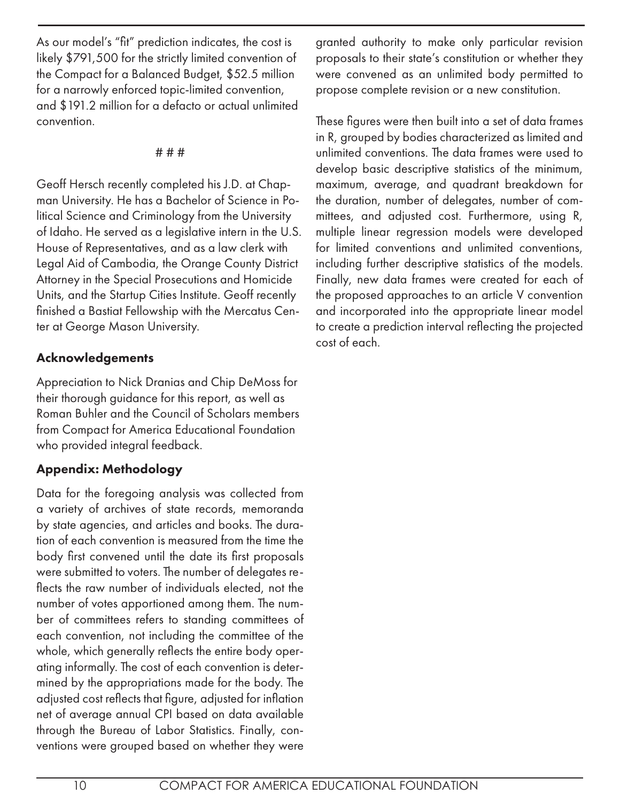As our model's "fit" prediction indicates, the cost is likely \$791,500 for the strictly limited convention of the Compact for a Balanced Budget, \$52.5 million for a narrowly enforced topic-limited convention, and \$191.2 million for a defacto or actual unlimited convention.

### # # #

Geoff Hersch recently completed his J.D. at Chapman University. He has a Bachelor of Science in Political Science and Criminology from the University of Idaho. He served as a legislative intern in the U.S. House of Representatives, and as a law clerk with Legal Aid of Cambodia, the Orange County District Attorney in the Special Prosecutions and Homicide Units, and the Startup Cities Institute. Geoff recently finished a Bastiat Fellowship with the Mercatus Center at George Mason University.

### Acknowledgements

Appreciation to Nick Dranias and Chip DeMoss for their thorough guidance for this report, as well as Roman Buhler and the Council of Scholars members from Compact for America Educational Foundation who provided integral feedback.

### Appendix: Methodology

Data for the foregoing analysis was collected from a variety of archives of state records, memoranda by state agencies, and articles and books. The duration of each convention is measured from the time the body first convened until the date its first proposals were submitted to voters. The number of delegates reflects the raw number of individuals elected, not the number of votes apportioned among them. The number of committees refers to standing committees of each convention, not including the committee of the whole, which generally reflects the entire body operating informally. The cost of each convention is determined by the appropriations made for the body. The adjusted cost reflects that figure, adjusted for inflation net of average annual CPI based on data available through the Bureau of Labor Statistics. Finally, conventions were grouped based on whether they were

granted authority to make only particular revision proposals to their state's constitution or whether they were convened as an unlimited body permitted to propose complete revision or a new constitution.

These figures were then built into a set of data frames in R, grouped by bodies characterized as limited and unlimited conventions. The data frames were used to develop basic descriptive statistics of the minimum, maximum, average, and quadrant breakdown for the duration, number of delegates, number of committees, and adjusted cost. Furthermore, using R, multiple linear regression models were developed for limited conventions and unlimited conventions, including further descriptive statistics of the models. Finally, new data frames were created for each of the proposed approaches to an article V convention and incorporated into the appropriate linear model to create a prediction interval reflecting the projected cost of each.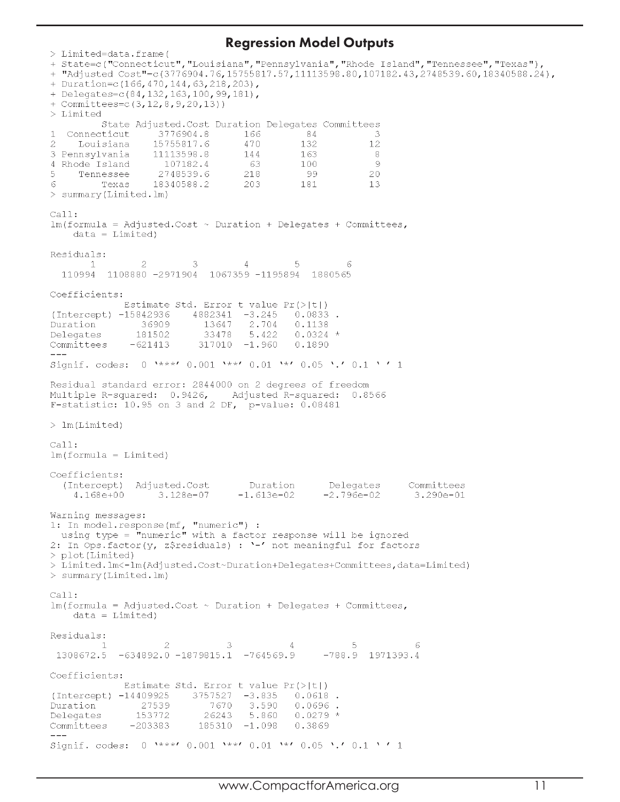### Regression Model Outputs

```
> Limited=data.frame(
+ Duration=c(166,470,144,63,218,203),
+ Delegates=c(84, 132, 163, 100, 99, 181),
+ Committees=c(3,12,8,9,20,13))
> Limited
         State Adjusted. Cost Duration Delegates Committees
\mathbf{1}Connecticut
                   3776904.8
                                    166
                                               84
                                                             \mathcal{R}\overline{2}Louisiana
                   15755817.6
                                    470
                                               132
                                                            12144
3 Pennsylvania
                  11113598.81.63
                                                             - 8
4 Rhode Island
                    107182.4
                                     - 63
                                               100
                                                             \circ5
    Tennessee
                    2748539.6
                                    218
                                               - 99
                                                            20
                   18340588.2
                                    203
                                               181
                                                            13
6
        Texas
> summary(Limited.lm)
Ca11:lm(formula = Adjusted.Cost ~ Duration + Delegates + Committees,data = Limited)Residuals:
                 \overline{2}\mathbf{1}3
                                    \Delta.5
                                                        6
  110994 1108880 -2971904 1067359 -1195894
                                                1880565
Coefficients:
              Estimate Std. Error t value Pr(>|t|)
(Intercept) -15842936
                         4882341 -3.245 0.0833.
                            13647 2.704
Duration
                36909
                                              0.1138181502
                            33478 5.422
                                              0.0324 *
Delegates
              -621413317010 - 1.960Committees
                                              0.1890Signif. codes: 0 \rightarrow x^*, 0.001 \rightarrow x, 0.01 \rightarrow x, 0.05 \cdot, 0.1 \cdot 1
Residual standard error: 2844000 on 2 degrees of freedom
Multiple R-squared: 0.9426, Adjusted R-squared: 0.8566
F-statistic: 10.95 on 3 and 2 DF, p-value: 0.08481> \text{lm(Limited)}Call:lm(formula = Limited)Coefficients:
  (Intercept) Adjusted.Cost
                                                                  Committees
                                    Duration
                                                   Delegates
                                                  -2.796e-024.168e+003.128e - 07-1.613e-023.290e - 01Warning messages:
1: In model.response(mf, "numeric") :<br>using type = "numeric" with a factor response will be ignored<br>2: In Ops.factor(y, z$residuals) : '-' not meaningful for factors
> plot (Limited)
> Limited.lm<-lm(Adjusted.Cost~Duration+Delegates+Committees,data=Limited)
> summary (Limited.lm)
Call:lm(formula = Adjusted.Cost ~ Duration + Delegates + Committee,data = Limited)Residuals:
         \mathbf{1}\mathcal{D}\mathcal{R}\Delta\mathbb{E}_\mathbf{t}\kappa1308672.5 -634892.0 -1879815.1 -764569.9-788.9 1971393.4
Coefficients:
             Estimate Std. Error t value Pr(>|t|)
(Intercept) -14409925
                          3757527
                                    -3.8350.0618.
Duration
                27539
                              7670
                                     3.590
                                              0.0696.
                                              0.0279*153772
                                    5.860
Delegates
                             26243
Committees
               -203383185310 - 1.0980.3869
\frac{1}{2}Signif. codes: 0 '***' 0.001 '**' 0.01 '*' 0.05 '.' 0.1 '' 1
```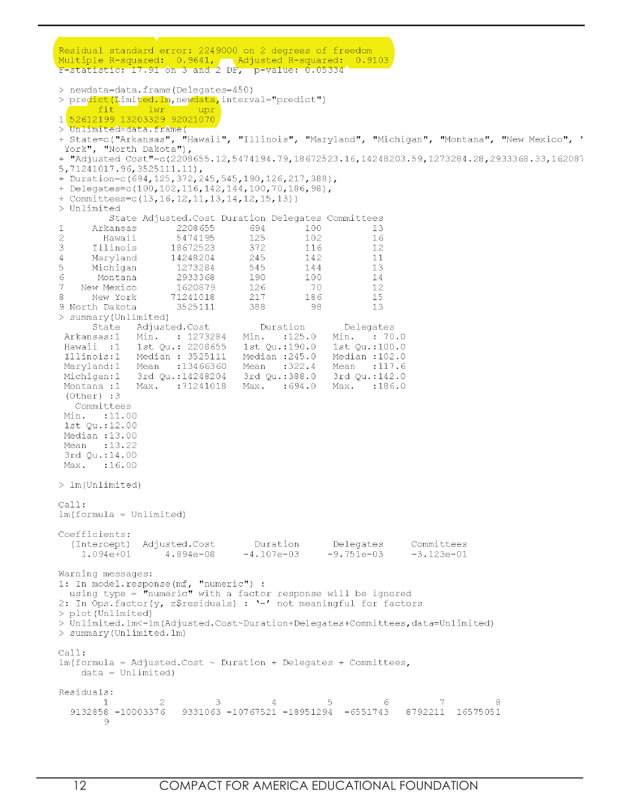Residual standard error: 2249000 on 2 degrees of freedom Multiple R-squared: 0.9641, Adjusted R-squared: 0.9103<br>F-statistic: 17.91 on 3 and 2 DF, p-value: 0.05334 > newdata=data.frame(Delegates=450) > predict(Limited.lm, newdata, interval="predict") fit lwr upr 1 52612199 13203329 92021070 > Unlimited=data.frame( + State=c("Arkansas", "Hawaii", "Illinois", "Maryland", "Michigan", "Montana", "New Mexico", " York", "North Dakota"), + "Adjusted Cost"=c(2208655.12,5474194.79,18672523.16,14248203.59,1273284.28,2933368.33,162087 5,71241017.96,3525111.11), + Duration=c(694, 125, 372, 245, 545, 190, 126, 217, 388), + Delegates=c(100,102,116,142,144,100,70,186,98), + Committees= $c(13, 16, 12, 11, 13, 14, 12, 15, 13)$  ) > Unlimited State Adjusted. Cost Duration Delegates Committees 694  $\mathbf{1}$ Arkansas 2208655  $100 13$  $\overline{2}$ Hawaii 5474195 125 102  $16$ 3 372 Illinois 18672523 116  $12$ 14248204 245 142  $11$  $\overline{A}$ Maryland 5 545 Michigan 1273284 144  $13$  $\epsilon$ Montana 2933368 190 100  $14$  $\overline{7}$ 1620879  $70$ New Mexico 126 12 71241018 8 New York 217 186 15 9 North Dakota 3525111 388 -98 13 > summary (Unlimited) Adjusted.Cost State Duration Delegates Min. : 125.0 Min. : 70.0 Arkansas:1 Min. : 1273284 1st Qu.: 2208655 Hawaii :1 1st Qu.:190.0 1st Qu.:100.0 Illinois:1 Median : 3525111 Median :245.0 Median :102.0 Maryland:1 Mean : 13466360 Mean :322.4 Mean : 117.6 Michigan:1 3rd Qu.:14248204 3rd Qu.:388.0 3rd Qu.:142.0 Max. : 694.0 Montana :1 Max. :71241018 Max. :186.0  $(Other) : 3$ Committees Min. : 11.00 1st Ou.:12.00 Median : 13.00 Mean : 13.22 3rd Qu.:14.00 Max. : 16.00  $> 1m$  (Unlimited) Call:  $lm(formula = Unlimited)$ Coefficients: (Intercept) Adjusted.Cost Delegates Committees Duration  $1.094e + 01$  $4.894e - 08$  $-4.107e-03$  $-9.751e-03$  $-3.123e-01$ Warning messages: 1: In model.response(mf, "numeric") : using type = "numeric" with a factor response will be ignored 2: In Ops.factor(y, z\$residuals) : '-' not meaningful for factors > plot(Unlimited) > Unlimited.lm<-lm(Adjusted.Cost~Duration+Delegates+Committees,data=Unlimited) > summary (Unlimited. lm)  $Call:$  $lm(formula = AdjustedCost ~$  Duration + Delegates + Committees,  $data = Unlimited)$ Residuals:  $\mathbf{1}$  $\mathfrak{2}$ 3  $\overline{4}$ 5 6 9132858 -10003376 9331063 -10767521 -18951294 -6551743 8792211 16575051 -9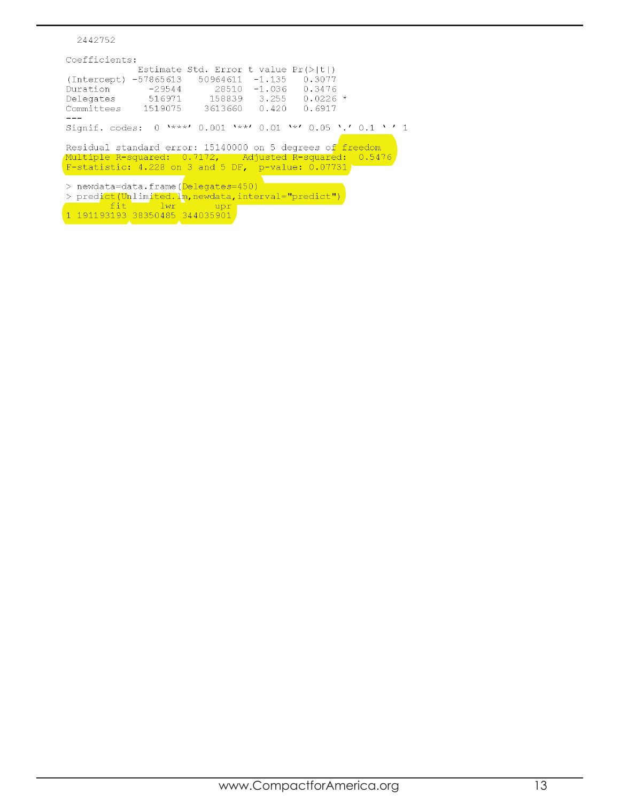```
2442752
Coefficients:Estimate Std. Error t value Pr(>\vert t \vert)(Intercept) -57865613 50964611 -1.135<br>Duration -29544 28510 -1.036
                                               0.30770.3476
Delegates
                516971
                              158839 3.255
                                               0.0226 *
Committees
               1519075
                            3613660 0.420
                                               0.6917Signif. codes: 0 '***' 0.001 '**' 0.01 '*' 0.05 '.' 0.1 ' ' 1
Residual standard error: 15140000 on 5 degrees of freedom
Multiple R-squared: 0.7172, Adjusted R-squared: 0.5476<br>F-statistic: 4.228 on 3 and 5 DF, p-value: 0.07731
> newdata=data.frame(Delegates=450)
> homand data: Trume (percyaces 1997)
fit 1wr upr upr 191193193 38350485 344035901
```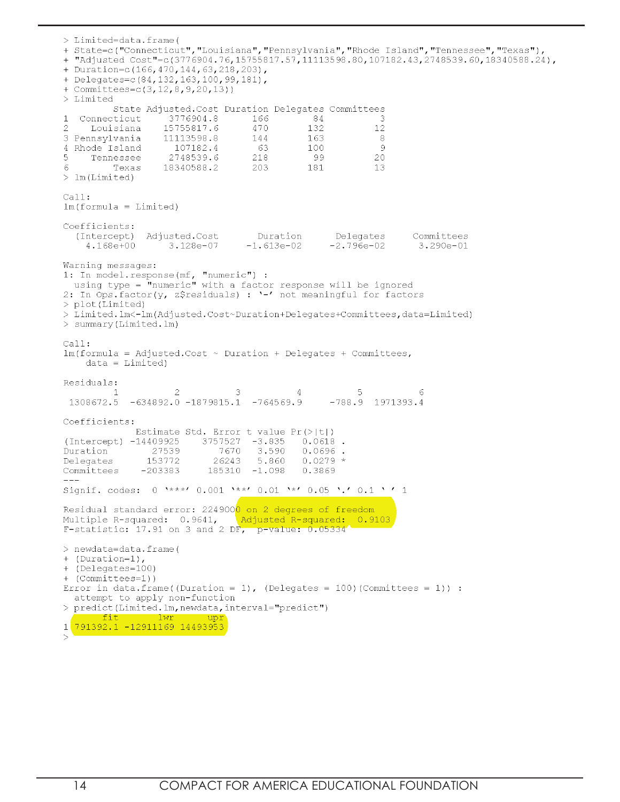> Limited=data.frame( + State=c("Connecticut", "Louisiana", "Pennsylvania", "Rhode Island", "Tennessee", "Texas"), + "Adjusted Cost"=c(3776904.76,15755817.57,11113598.80,107182.43,2748539.60,18340588.24), + Duration=c (166, 470, 144, 63, 218, 203), + Delegates=c(84, 132, 163, 100, 99, 181), + Committees=c(3,12,8,9,20,13)) > Limited State Adjusted. Cost Duration Delegates Committees 3776904.8 166  $\mathbf{1}$ Connecticut 84 -3  $\overline{2}$ Louisiana 15755817.6 470 132  $12\,$ 3 Pennsylvania 11113598.8 144 163 -8 107182.4 - 63 100 -9 4 Rhode Island 2748539.6  $\overline{5}$ 218 - 99 20 Tennessee 181 13 6 Texas 18340588.2 203  $>$  1m (Limited)  $Call:$  $lm(formula = Limited)$ Coefficients: Duration Delegates (Intercept) Adjusted.Cost Committees 4.168e+00 3.128e-07  $-1.613e-02$  $-2.796e-02$  $3.290e - 01$ Warning messages: 1: In model.response(mf, "numeric") : using type =  $\mathbf{\dot{m}}$ numeric" with a factor response will be ignored 2: In Ops.factor(y, z\$residuals) : '-' not meaningful for factors > plot (Limited) > Limited.lm<-lm(Adjusted.Cost~Duration+Delegates+Committees,data=Limited) > summary (Limited.lm)  $Ca11:$  $lm(formula = Adjusted.Cost ~ Duration + Delegates + Committees,$  $data = Limited)$ Residuals:  $\overline{2}$ 3 5 1 4 6 1308672.5 -634892.0 -1879815.1 -764569.9  $-788.9$  1971393.4 Coefficients: Estimate Std. Error t value  $Pr(>\vert t \vert)$ (Intercept) -14409925 3757527 -3.835  $0.0618$ . Duration 27539 7670 3.590  $0.0696$ . Delegates 153772 26243 5.860  $0.0279*$ Committees  $-203383$  $185310 - 1.098$ 0.3869 Signif. codes: 0 \*\*\*\*' 0.001 \*\*\*' 0.01 \*\*' 0.05 '.' 0.1 ' ' 1 Residual standard error: 2249000 on 2 degrees of freedom Multiple R-squared: 0.9641, Adjusted R-squared: 0.9103 F-statistic:  $17.91$  on 3 and 2 DF, p-value:  $0.05334'$ > newdata=data.frame( + (Duration=1), + (Delegates=100) + (Committees=1)) Error in data.frame((Duration = 1), (Delegates = 100)(Committees = 1)) : attempt to apply non-function > predict(Limited.lm, newdata, interval="predict") fit - lwr 791392.1 -12911169 14493953  $\mathbf{1}$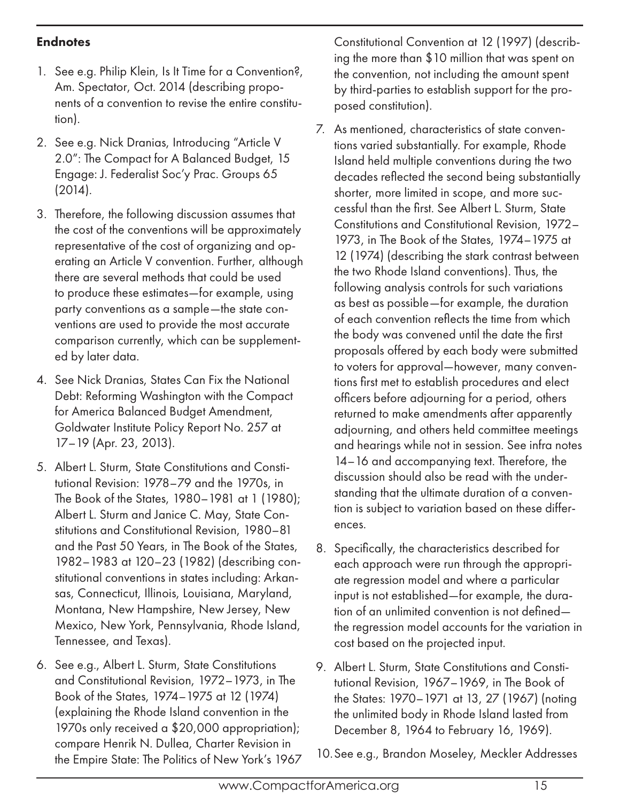### **Endnotes**

- 1. See e.g. Philip Klein, Is It Time for a Convention?, Am. Spectator, Oct. 2014 (describing proponents of a convention to revise the entire constitution).
- 2. See e.g. Nick Dranias, Introducing "Article V 2.0": The Compact for A Balanced Budget, 15 Engage: J. Federalist Soc'y Prac. Groups 65 (2014).
- 3. Therefore, the following discussion assumes that the cost of the conventions will be approximately representative of the cost of organizing and operating an Article V convention. Further, although there are several methods that could be used to produce these estimates—for example, using party conventions as a sample—the state conventions are used to provide the most accurate comparison currently, which can be supplemented by later data.
- 4. See Nick Dranias, States Can Fix the National Debt: Reforming Washington with the Compact for America Balanced Budget Amendment, Goldwater Institute Policy Report No. 257 at 17–19 (Apr. 23, 2013).
- 5. Albert L. Sturm, State Constitutions and Constitutional Revision: 1978–79 and the 1970s, in The Book of the States, 1980–1981 at 1 (1980); Albert L. Sturm and Janice C. May, State Constitutions and Constitutional Revision, 1980–81 and the Past 50 Years, in The Book of the States, 1982–1983 at 120–23 (1982) (describing constitutional conventions in states including: Arkansas, Connecticut, Illinois, Louisiana, Maryland, Montana, New Hampshire, New Jersey, New Mexico, New York, Pennsylvania, Rhode Island, Tennessee, and Texas).
- 6. See e.g., Albert L. Sturm, State Constitutions and Constitutional Revision, 1972–1973, in The Book of the States, 1974–1975 at 12 (1974) (explaining the Rhode Island convention in the 1970s only received a \$20,000 appropriation); compare Henrik N. Dullea, Charter Revision in the Empire State: The Politics of New York's 1967

Constitutional Convention at 12 (1997) (describing the more than \$10 million that was spent on the convention, not including the amount spent by third-parties to establish support for the proposed constitution).

- 7. As mentioned, characteristics of state conventions varied substantially. For example, Rhode Island held multiple conventions during the two decades reflected the second being substantially shorter, more limited in scope, and more successful than the first. See Albert L. Sturm, State Constitutions and Constitutional Revision, 1972– 1973, in The Book of the States, 1974–1975 at 12 (1974) (describing the stark contrast between the two Rhode Island conventions). Thus, the following analysis controls for such variations as best as possible—for example, the duration of each convention reflects the time from which the body was convened until the date the first proposals offered by each body were submitted to voters for approval—however, many conventions first met to establish procedures and elect officers before adjourning for a period, others returned to make amendments after apparently adjourning, and others held committee meetings and hearings while not in session. See infra notes 14–16 and accompanying text. Therefore, the discussion should also be read with the understanding that the ultimate duration of a convention is subject to variation based on these differences.
- 8. Specifically, the characteristics described for each approach were run through the appropriate regression model and where a particular input is not established—for example, the duration of an unlimited convention is not defined the regression model accounts for the variation in cost based on the projected input.
- 9. Albert L. Sturm, State Constitutions and Constitutional Revision, 1967–1969, in The Book of the States: 1970–1971 at 13, 27 (1967) (noting the unlimited body in Rhode Island lasted from December 8, 1964 to February 16, 1969).
- 10.See e.g., Brandon Moseley, Meckler Addresses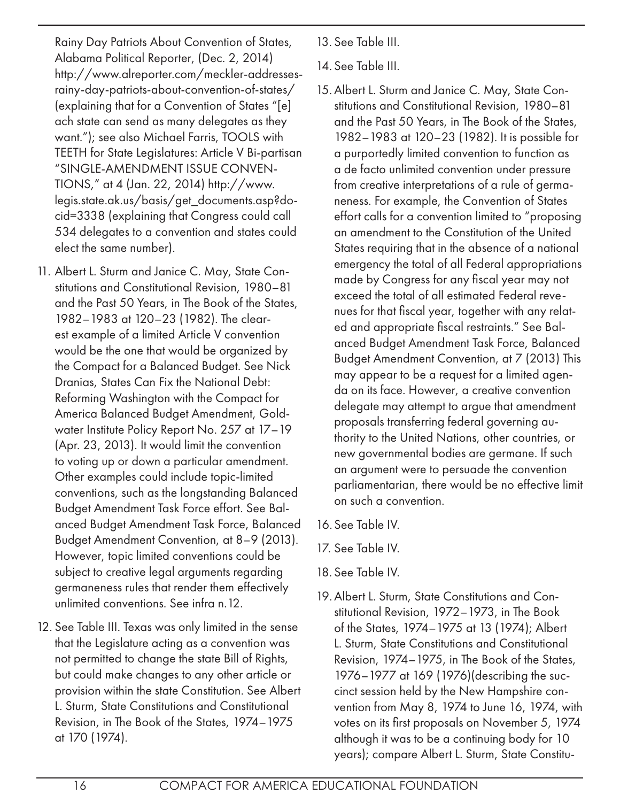Rainy Day Patriots About Convention of States, Alabama Political Reporter, (Dec. 2, 2014) http://www.alreporter.com/meckler-addressesrainy-day-patriots-about-convention-of-states/ (explaining that for a Convention of States "[e] ach state can send as many delegates as they want."); see also Michael Farris, TOOLS with TEETH for State Legislatures: Article V Bi-partisan "SINGLE-AMENDMENT ISSUE CONVEN-TIONS," at 4 (Jan. 22, 2014) http://www. legis.state.ak.us/basis/get\_documents.asp?docid=3338 (explaining that Congress could call 534 delegates to a convention and states could elect the same number).

- 11. Albert L. Sturm and Janice C. May, State Constitutions and Constitutional Revision, 1980–81 and the Past 50 Years, in The Book of the States, 1982–1983 at 120–23 (1982). The clearest example of a limited Article V convention would be the one that would be organized by the Compact for a Balanced Budget. See Nick Dranias, States Can Fix the National Debt: Reforming Washington with the Compact for America Balanced Budget Amendment, Goldwater Institute Policy Report No. 257 at 17–19 (Apr. 23, 2013). It would limit the convention to voting up or down a particular amendment. Other examples could include topic-limited conventions, such as the longstanding Balanced Budget Amendment Task Force effort. See Balanced Budget Amendment Task Force, Balanced Budget Amendment Convention, at 8–9 (2013). However, topic limited conventions could be subject to creative legal arguments regarding germaneness rules that render them effectively unlimited conventions. See infra n.12.
- 12. See Table III. Texas was only limited in the sense that the Legislature acting as a convention was not permitted to change the state Bill of Rights, but could make changes to any other article or provision within the state Constitution. See Albert L. Sturm, State Constitutions and Constitutional Revision, in The Book of the States, 1974–1975 at 170 (1974).
- 13. See Table III.
- 14. See Table III.
- 15.Albert L. Sturm and Janice C. May, State Constitutions and Constitutional Revision, 1980–81 and the Past 50 Years, in The Book of the States, 1982–1983 at 120–23 (1982). It is possible for a purportedly limited convention to function as a de facto unlimited convention under pressure from creative interpretations of a rule of germaneness. For example, the Convention of States effort calls for a convention limited to "proposing an amendment to the Constitution of the United States requiring that in the absence of a national emergency the total of all Federal appropriations made by Congress for any fiscal year may not exceed the total of all estimated Federal revenues for that fiscal year, together with any related and appropriate fiscal restraints." See Balanced Budget Amendment Task Force, Balanced Budget Amendment Convention, at 7 (2013) This may appear to be a request for a limited agenda on its face. However, a creative convention delegate may attempt to argue that amendment proposals transferring federal governing authority to the United Nations, other countries, or new governmental bodies are germane. If such an argument were to persuade the convention parliamentarian, there would be no effective limit on such a convention.
- 16.See Table IV.
- 17. See Table IV.
- 18. See Table IV.
- 19.Albert L. Sturm, State Constitutions and Constitutional Revision, 1972–1973, in The Book of the States, 1974–1975 at 13 (1974); Albert L. Sturm, State Constitutions and Constitutional Revision, 1974–1975, in The Book of the States, 1976–1977 at 169 (1976)(describing the succinct session held by the New Hampshire convention from May 8, 1974 to June 16, 1974, with votes on its first proposals on November 5, 1974 although it was to be a continuing body for 10 years); compare Albert L. Sturm, State Constitu-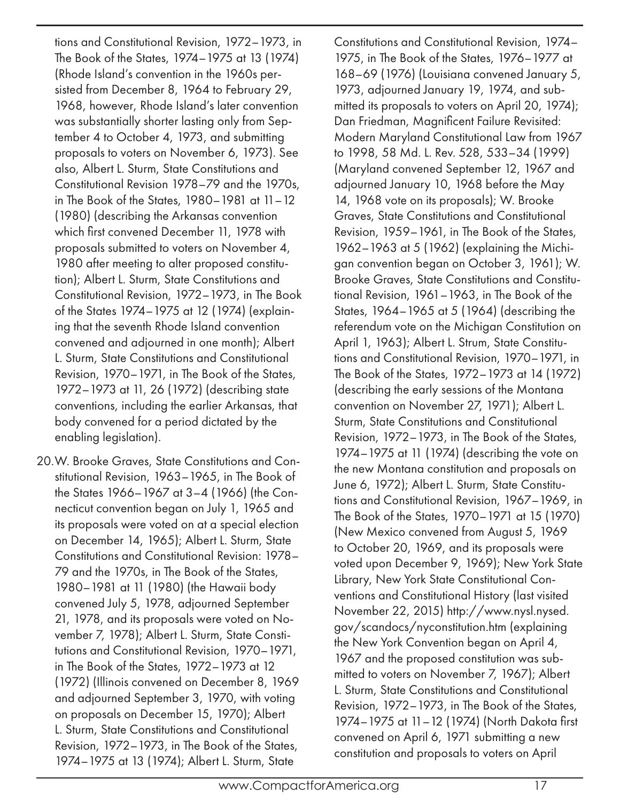tions and Constitutional Revision, 1972–1973, in The Book of the States, 1974–1975 at 13 (1974) (Rhode Island's convention in the 1960s persisted from December 8, 1964 to February 29, 1968, however, Rhode Island's later convention was substantially shorter lasting only from September 4 to October 4, 1973, and submitting proposals to voters on November 6, 1973). See also, Albert L. Sturm, State Constitutions and Constitutional Revision 1978–79 and the 1970s, in The Book of the States, 1980–1981 at 11–12 (1980) (describing the Arkansas convention which first convened December 11, 1978 with proposals submitted to voters on November 4, 1980 after meeting to alter proposed constitution); Albert L. Sturm, State Constitutions and Constitutional Revision, 1972–1973, in The Book of the States 1974–1975 at 12 (1974) (explaining that the seventh Rhode Island convention convened and adjourned in one month); Albert L. Sturm, State Constitutions and Constitutional Revision, 1970–1971, in The Book of the States, 1972–1973 at 11, 26 (1972) (describing state conventions, including the earlier Arkansas, that body convened for a period dictated by the enabling legislation).

20.W. Brooke Graves, State Constitutions and Constitutional Revision, 1963–1965, in The Book of the States 1966–1967 at 3–4 (1966) (the Connecticut convention began on July 1, 1965 and its proposals were voted on at a special election on December 14, 1965); Albert L. Sturm, State Constitutions and Constitutional Revision: 1978– 79 and the 1970s, in The Book of the States, 1980–1981 at 11 (1980) (the Hawaii body convened July 5, 1978, adjourned September 21, 1978, and its proposals were voted on November 7, 1978); Albert L. Sturm, State Constitutions and Constitutional Revision, 1970–1971, in The Book of the States, 1972–1973 at 12 (1972) (Illinois convened on December 8, 1969 and adjourned September 3, 1970, with voting on proposals on December 15, 1970); Albert L. Sturm, State Constitutions and Constitutional Revision, 1972–1973, in The Book of the States, 1974–1975 at 13 (1974); Albert L. Sturm, State

Constitutions and Constitutional Revision, 1974– 1975, in The Book of the States, 1976–1977 at 168–69 (1976) (Louisiana convened January 5, 1973, adjourned January 19, 1974, and submitted its proposals to voters on April 20, 1974); Dan Friedman, Magnificent Failure Revisited: Modern Maryland Constitutional Law from 1967 to 1998, 58 Md. L. Rev. 528, 533–34 (1999) (Maryland convened September 12, 1967 and adjourned January 10, 1968 before the May 14, 1968 vote on its proposals); W. Brooke Graves, State Constitutions and Constitutional Revision, 1959–1961, in The Book of the States, 1962–1963 at 5 (1962) (explaining the Michigan convention began on October 3, 1961); W. Brooke Graves, State Constitutions and Constitutional Revision, 1961–1963, in The Book of the States, 1964–1965 at 5 (1964) (describing the referendum vote on the Michigan Constitution on April 1, 1963); Albert L. Strum, State Constitutions and Constitutional Revision, 1970–1971, in The Book of the States, 1972–1973 at 14 (1972) (describing the early sessions of the Montana convention on November 27, 1971); Albert L. Sturm, State Constitutions and Constitutional Revision, 1972–1973, in The Book of the States, 1974–1975 at 11 (1974) (describing the vote on the new Montana constitution and proposals on June 6, 1972); Albert L. Sturm, State Constitutions and Constitutional Revision, 1967–1969, in The Book of the States, 1970–1971 at 15 (1970) (New Mexico convened from August 5, 1969 to October 20, 1969, and its proposals were voted upon December 9, 1969); New York State Library, New York State Constitutional Conventions and Constitutional History (last visited November 22, 2015) http://www.nysl.nysed. gov/scandocs/nyconstitution.htm (explaining the New York Convention began on April 4, 1967 and the proposed constitution was submitted to voters on November 7, 1967); Albert L. Sturm, State Constitutions and Constitutional Revision, 1972–1973, in The Book of the States, 1974–1975 at 11–12 (1974) (North Dakota first convened on April 6, 1971 submitting a new constitution and proposals to voters on April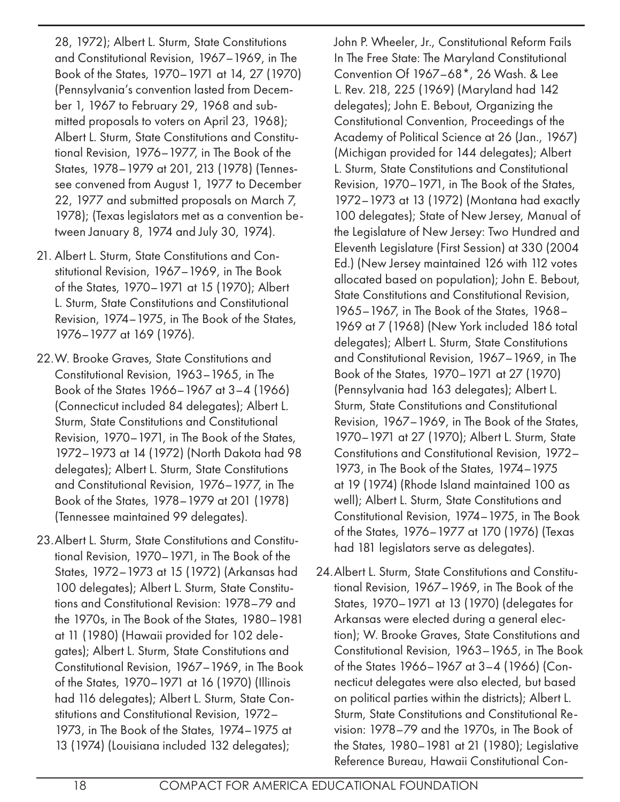28, 1972); Albert L. Sturm, State Constitutions and Constitutional Revision, 1967–1969, in The Book of the States, 1970–1971 at 14, 27 (1970) (Pennsylvania's convention lasted from December 1, 1967 to February 29, 1968 and submitted proposals to voters on April 23, 1968); Albert L. Sturm, State Constitutions and Constitutional Revision, 1976–1977, in The Book of the States, 1978–1979 at 201, 213 (1978) (Tennessee convened from August 1, 1977 to December 22, 1977 and submitted proposals on March 7, 1978); (Texas legislators met as a convention between January 8, 1974 and July 30, 1974).

- 21. Albert L. Sturm, State Constitutions and Constitutional Revision, 1967–1969, in The Book of the States, 1970–1971 at 15 (1970); Albert L. Sturm, State Constitutions and Constitutional Revision, 1974–1975, in The Book of the States, 1976–1977 at 169 (1976).
- 22.W. Brooke Graves, State Constitutions and Constitutional Revision, 1963–1965, in The Book of the States 1966–1967 at 3–4 (1966) (Connecticut included 84 delegates); Albert L. Sturm, State Constitutions and Constitutional Revision, 1970–1971, in The Book of the States, 1972–1973 at 14 (1972) (North Dakota had 98 delegates); Albert L. Sturm, State Constitutions and Constitutional Revision, 1976–1977, in The Book of the States, 1978–1979 at 201 (1978) (Tennessee maintained 99 delegates).
- 23.Albert L. Sturm, State Constitutions and Constitutional Revision, 1970–1971, in The Book of the States, 1972–1973 at 15 (1972) (Arkansas had 100 delegates); Albert L. Sturm, State Constitutions and Constitutional Revision: 1978–79 and the 1970s, in The Book of the States, 1980–1981 at 11 (1980) (Hawaii provided for 102 delegates); Albert L. Sturm, State Constitutions and Constitutional Revision, 1967–1969, in The Book of the States, 1970–1971 at 16 (1970) (Illinois had 116 delegates); Albert L. Sturm, State Constitutions and Constitutional Revision, 1972– 1973, in The Book of the States, 1974–1975 at 13 (1974) (Louisiana included 132 delegates);

John P. Wheeler, Jr., Constitutional Reform Fails In The Free State: The Maryland Constitutional Convention Of 1967–68\*, 26 Wash. & Lee L. Rev. 218, 225 (1969) (Maryland had 142 delegates); John E. Bebout, Organizing the Constitutional Convention, Proceedings of the Academy of Political Science at 26 (Jan., 1967) (Michigan provided for 144 delegates); Albert L. Sturm, State Constitutions and Constitutional Revision, 1970–1971, in The Book of the States, 1972–1973 at 13 (1972) (Montana had exactly 100 delegates); State of New Jersey, Manual of the Legislature of New Jersey: Two Hundred and Eleventh Legislature (First Session) at 330 (2004 Ed.) (New Jersey maintained 126 with 112 votes allocated based on population); John E. Bebout, State Constitutions and Constitutional Revision, 1965–1967, in The Book of the States, 1968– 1969 at 7 (1968) (New York included 186 total delegates); Albert L. Sturm, State Constitutions and Constitutional Revision, 1967–1969, in The Book of the States, 1970–1971 at 27 (1970) (Pennsylvania had 163 delegates); Albert L. Sturm, State Constitutions and Constitutional Revision, 1967–1969, in The Book of the States, 1970–1971 at 27 (1970); Albert L. Sturm, State Constitutions and Constitutional Revision, 1972– 1973, in The Book of the States, 1974–1975 at 19 (1974) (Rhode Island maintained 100 as well); Albert L. Sturm, State Constitutions and Constitutional Revision, 1974–1975, in The Book of the States, 1976–1977 at 170 (1976) (Texas had 181 legislators serve as delegates).

24.Albert L. Sturm, State Constitutions and Constitutional Revision, 1967–1969, in The Book of the States, 1970–1971 at 13 (1970) (delegates for Arkansas were elected during a general election); W. Brooke Graves, State Constitutions and Constitutional Revision, 1963–1965, in The Book of the States 1966–1967 at 3–4 (1966) (Connecticut delegates were also elected, but based on political parties within the districts); Albert L. Sturm, State Constitutions and Constitutional Revision: 1978–79 and the 1970s, in The Book of the States, 1980–1981 at 21 (1980); Legislative Reference Bureau, Hawaii Constitutional Con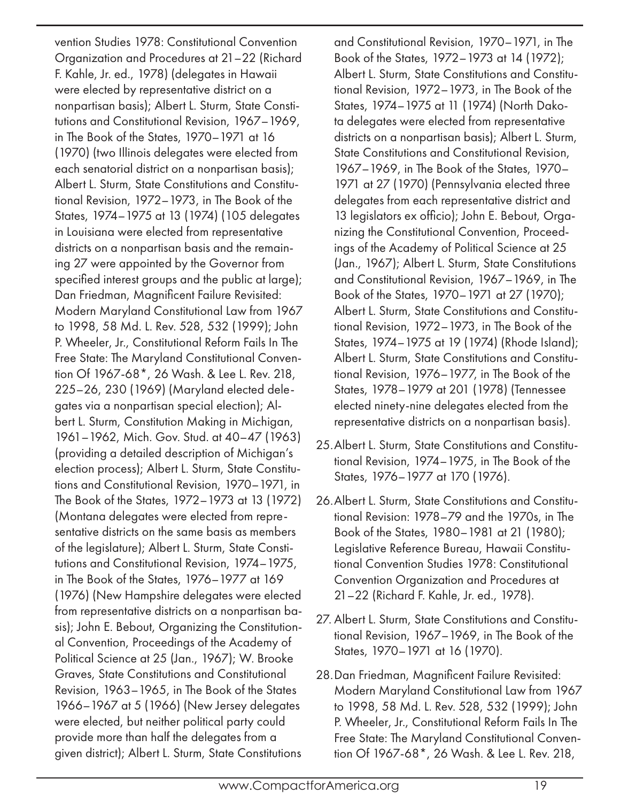vention Studies 1978: Constitutional Convention Organization and Procedures at 21–22 (Richard F. Kahle, Jr. ed., 1978) (delegates in Hawaii were elected by representative district on a nonpartisan basis); Albert L. Sturm, State Constitutions and Constitutional Revision, 1967–1969, in The Book of the States, 1970–1971 at 16 (1970) (two Illinois delegates were elected from each senatorial district on a nonpartisan basis); Albert L. Sturm, State Constitutions and Constitutional Revision, 1972–1973, in The Book of the States, 1974–1975 at 13 (1974) (105 delegates in Louisiana were elected from representative districts on a nonpartisan basis and the remaining 27 were appointed by the Governor from specified interest groups and the public at large); Dan Friedman, Magnificent Failure Revisited: Modern Maryland Constitutional Law from 1967 to 1998, 58 Md. L. Rev. 528, 532 (1999); John P. Wheeler, Jr., Constitutional Reform Fails In The Free State: The Maryland Constitutional Convention Of 1967-68\*, 26 Wash. & Lee L. Rev. 218, 225–26, 230 (1969) (Maryland elected delegates via a nonpartisan special election); Albert L. Sturm, Constitution Making in Michigan, 1961–1962, Mich. Gov. Stud. at 40–47 (1963) (providing a detailed description of Michigan's election process); Albert L. Sturm, State Constitutions and Constitutional Revision, 1970–1971, in The Book of the States, 1972–1973 at 13 (1972) (Montana delegates were elected from representative districts on the same basis as members of the legislature); Albert L. Sturm, State Constitutions and Constitutional Revision, 1974–1975, in The Book of the States, 1976–1977 at 169 (1976) (New Hampshire delegates were elected from representative districts on a nonpartisan basis); John E. Bebout, Organizing the Constitutional Convention, Proceedings of the Academy of Political Science at 25 (Jan., 1967); W. Brooke Graves, State Constitutions and Constitutional Revision, 1963–1965, in The Book of the States 1966–1967 at 5 (1966) (New Jersey delegates were elected, but neither political party could provide more than half the delegates from a given district); Albert L. Sturm, State Constitutions

and Constitutional Revision, 1970–1971, in The Book of the States, 1972–1973 at 14 (1972); Albert L. Sturm, State Constitutions and Constitutional Revision, 1972–1973, in The Book of the States, 1974–1975 at 11 (1974) (North Dakota delegates were elected from representative districts on a nonpartisan basis); Albert L. Sturm, State Constitutions and Constitutional Revision, 1967–1969, in The Book of the States, 1970– 1971 at 27 (1970) (Pennsylvania elected three delegates from each representative district and 13 legislators ex officio); John E. Bebout, Organizing the Constitutional Convention, Proceedings of the Academy of Political Science at 25 (Jan., 1967); Albert L. Sturm, State Constitutions and Constitutional Revision, 1967–1969, in The Book of the States, 1970–1971 at 27 (1970); Albert L. Sturm, State Constitutions and Constitutional Revision, 1972–1973, in The Book of the States, 1974–1975 at 19 (1974) (Rhode Island); Albert L. Sturm, State Constitutions and Constitutional Revision, 1976–1977, in The Book of the States, 1978–1979 at 201 (1978) (Tennessee elected ninety-nine delegates elected from the representative districts on a nonpartisan basis).

- 25.Albert L. Sturm, State Constitutions and Constitutional Revision, 1974–1975, in The Book of the States, 1976–1977 at 170 (1976).
- 26.Albert L. Sturm, State Constitutions and Constitutional Revision: 1978–79 and the 1970s, in The Book of the States, 1980–1981 at 21 (1980); Legislative Reference Bureau, Hawaii Constitutional Convention Studies 1978: Constitutional Convention Organization and Procedures at 21–22 (Richard F. Kahle, Jr. ed., 1978).
- 27. Albert L. Sturm, State Constitutions and Constitutional Revision, 1967–1969, in The Book of the States, 1970–1971 at 16 (1970).
- 28.Dan Friedman, Magnificent Failure Revisited: Modern Maryland Constitutional Law from 1967 to 1998, 58 Md. L. Rev. 528, 532 (1999); John P. Wheeler, Jr., Constitutional Reform Fails In The Free State: The Maryland Constitutional Convention Of 1967-68\*, 26 Wash. & Lee L. Rev. 218,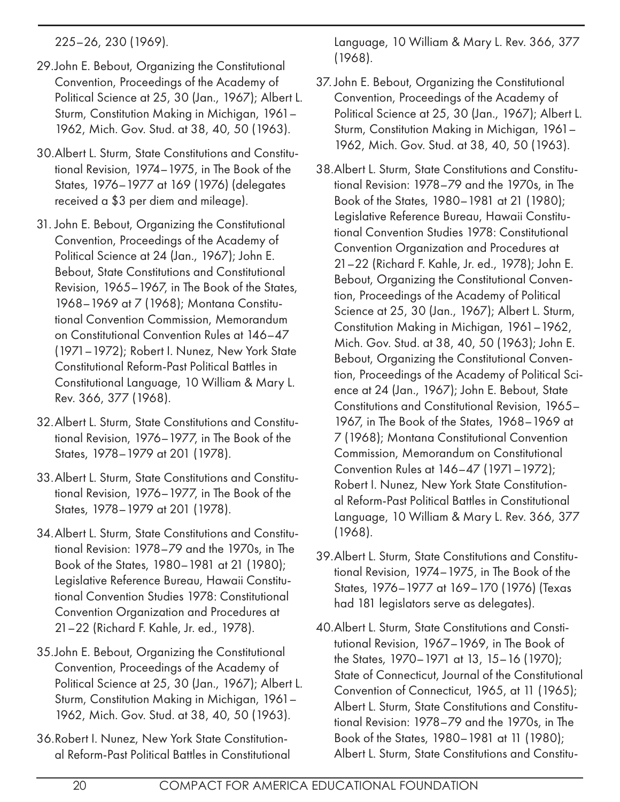225–26, 230 (1969).

- 29.John E. Bebout, Organizing the Constitutional Convention, Proceedings of the Academy of Political Science at 25, 30 (Jan., 1967); Albert L. Sturm, Constitution Making in Michigan, 1961– 1962, Mich. Gov. Stud. at 38, 40, 50 (1963).
- 30.Albert L. Sturm, State Constitutions and Constitutional Revision, 1974–1975, in The Book of the States, 1976–1977 at 169 (1976) (delegates received a \$3 per diem and mileage).
- 31. John E. Bebout, Organizing the Constitutional Convention, Proceedings of the Academy of Political Science at 24 (Jan., 1967); John E. Bebout, State Constitutions and Constitutional Revision, 1965–1967, in The Book of the States, 1968–1969 at 7 (1968); Montana Constitutional Convention Commission, Memorandum on Constitutional Convention Rules at 146–47 (1971–1972); Robert I. Nunez, New York State Constitutional Reform-Past Political Battles in Constitutional Language, 10 William & Mary L. Rev. 366, 377 (1968).
- 32.Albert L. Sturm, State Constitutions and Constitutional Revision, 1976–1977, in The Book of the States, 1978–1979 at 201 (1978).
- 33.Albert L. Sturm, State Constitutions and Constitutional Revision, 1976–1977, in The Book of the States, 1978–1979 at 201 (1978).
- 34.Albert L. Sturm, State Constitutions and Constitutional Revision: 1978–79 and the 1970s, in The Book of the States, 1980–1981 at 21 (1980); Legislative Reference Bureau, Hawaii Constitutional Convention Studies 1978: Constitutional Convention Organization and Procedures at 21–22 (Richard F. Kahle, Jr. ed., 1978).
- 35.John E. Bebout, Organizing the Constitutional Convention, Proceedings of the Academy of Political Science at 25, 30 (Jan., 1967); Albert L. Sturm, Constitution Making in Michigan, 1961– 1962, Mich. Gov. Stud. at 38, 40, 50 (1963).
- 36.Robert I. Nunez, New York State Constitutional Reform-Past Political Battles in Constitutional

Language, 10 William & Mary L. Rev. 366, 377 (1968).

- 37. John E. Bebout, Organizing the Constitutional Convention, Proceedings of the Academy of Political Science at 25, 30 (Jan., 1967); Albert L. Sturm, Constitution Making in Michigan, 1961– 1962, Mich. Gov. Stud. at 38, 40, 50 (1963).
- 38.Albert L. Sturm, State Constitutions and Constitutional Revision: 1978–79 and the 1970s, in The Book of the States, 1980–1981 at 21 (1980); Legislative Reference Bureau, Hawaii Constitutional Convention Studies 1978: Constitutional Convention Organization and Procedures at 21–22 (Richard F. Kahle, Jr. ed., 1978); John E. Bebout, Organizing the Constitutional Convention, Proceedings of the Academy of Political Science at 25, 30 (Jan., 1967); Albert L. Sturm, Constitution Making in Michigan, 1961–1962, Mich. Gov. Stud. at 38, 40, 50 (1963); John E. Bebout, Organizing the Constitutional Convention, Proceedings of the Academy of Political Science at 24 (Jan., 1967); John E. Bebout, State Constitutions and Constitutional Revision, 1965– 1967, in The Book of the States, 1968–1969 at 7 (1968); Montana Constitutional Convention Commission, Memorandum on Constitutional Convention Rules at 146–47 (1971–1972); Robert I. Nunez, New York State Constitutional Reform-Past Political Battles in Constitutional Language, 10 William & Mary L. Rev. 366, 377 (1968).
- 39.Albert L. Sturm, State Constitutions and Constitutional Revision, 1974–1975, in The Book of the States, 1976–1977 at 169–170 (1976) (Texas had 181 legislators serve as delegates).
- 40.Albert L. Sturm, State Constitutions and Constitutional Revision, 1967–1969, in The Book of the States, 1970–1971 at 13, 15–16 (1970); State of Connecticut, Journal of the Constitutional Convention of Connecticut, 1965, at 11 (1965); Albert L. Sturm, State Constitutions and Constitutional Revision: 1978–79 and the 1970s, in The Book of the States, 1980–1981 at 11 (1980); Albert L. Sturm, State Constitutions and Constitu-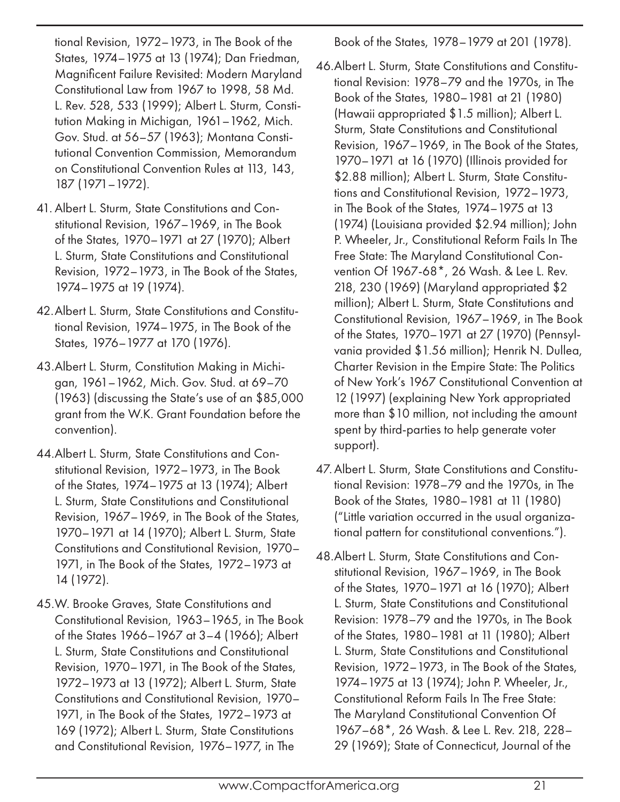tional Revision, 1972–1973, in The Book of the States, 1974–1975 at 13 (1974); Dan Friedman, Magnificent Failure Revisited: Modern Maryland Constitutional Law from 1967 to 1998, 58 Md. L. Rev. 528, 533 (1999); Albert L. Sturm, Constitution Making in Michigan, 1961–1962, Mich. Gov. Stud. at 56–57 (1963); Montana Constitutional Convention Commission, Memorandum on Constitutional Convention Rules at 113, 143, 187 (1971–1972).

- 41. Albert L. Sturm, State Constitutions and Constitutional Revision, 1967–1969, in The Book of the States, 1970–1971 at 27 (1970); Albert L. Sturm, State Constitutions and Constitutional Revision, 1972–1973, in The Book of the States, 1974–1975 at 19 (1974).
- 42.Albert L. Sturm, State Constitutions and Constitutional Revision, 1974–1975, in The Book of the States, 1976–1977 at 170 (1976).
- 43.Albert L. Sturm, Constitution Making in Michigan, 1961–1962, Mich. Gov. Stud. at 69–70 (1963) (discussing the State's use of an \$85,000 grant from the W.K. Grant Foundation before the convention).
- 44.Albert L. Sturm, State Constitutions and Constitutional Revision, 1972–1973, in The Book of the States, 1974–1975 at 13 (1974); Albert L. Sturm, State Constitutions and Constitutional Revision, 1967–1969, in The Book of the States, 1970–1971 at 14 (1970); Albert L. Sturm, State Constitutions and Constitutional Revision, 1970– 1971, in The Book of the States, 1972–1973 at 14 (1972).
- 45.W. Brooke Graves, State Constitutions and Constitutional Revision, 1963–1965, in The Book of the States 1966–1967 at 3–4 (1966); Albert L. Sturm, State Constitutions and Constitutional Revision, 1970–1971, in The Book of the States, 1972–1973 at 13 (1972); Albert L. Sturm, State Constitutions and Constitutional Revision, 1970– 1971, in The Book of the States, 1972–1973 at 169 (1972); Albert L. Sturm, State Constitutions and Constitutional Revision, 1976–1977, in The

Book of the States, 1978–1979 at 201 (1978).

- 46.Albert L. Sturm, State Constitutions and Constitutional Revision: 1978–79 and the 1970s, in The Book of the States, 1980–1981 at 21 (1980) (Hawaii appropriated \$1.5 million); Albert L. Sturm, State Constitutions and Constitutional Revision, 1967–1969, in The Book of the States, 1970–1971 at 16 (1970) (Illinois provided for \$2.88 million); Albert L. Sturm, State Constitutions and Constitutional Revision, 1972–1973, in The Book of the States, 1974–1975 at 13 (1974) (Louisiana provided \$2.94 million); John P. Wheeler, Jr., Constitutional Reform Fails In The Free State: The Maryland Constitutional Convention Of 1967-68\*, 26 Wash. & Lee L. Rev. 218, 230 (1969) (Maryland appropriated \$2 million); Albert L. Sturm, State Constitutions and Constitutional Revision, 1967–1969, in The Book of the States, 1970–1971 at 27 (1970) (Pennsylvania provided \$1.56 million); Henrik N. Dullea, Charter Revision in the Empire State: The Politics of New York's 1967 Constitutional Convention at 12 (1997) (explaining New York appropriated more than \$10 million, not including the amount spent by third-parties to help generate voter support).
- 47.Albert L. Sturm, State Constitutions and Constitutional Revision: 1978–79 and the 1970s, in The Book of the States, 1980–1981 at 11 (1980) ("Little variation occurred in the usual organizational pattern for constitutional conventions.").
- 48.Albert L. Sturm, State Constitutions and Constitutional Revision, 1967–1969, in The Book of the States, 1970–1971 at 16 (1970); Albert L. Sturm, State Constitutions and Constitutional Revision: 1978–79 and the 1970s, in The Book of the States, 1980–1981 at 11 (1980); Albert L. Sturm, State Constitutions and Constitutional Revision, 1972–1973, in The Book of the States, 1974–1975 at 13 (1974); John P. Wheeler, Jr., Constitutional Reform Fails In The Free State: The Maryland Constitutional Convention Of 1967–68\*, 26 Wash. & Lee L. Rev. 218, 228– 29 (1969); State of Connecticut, Journal of the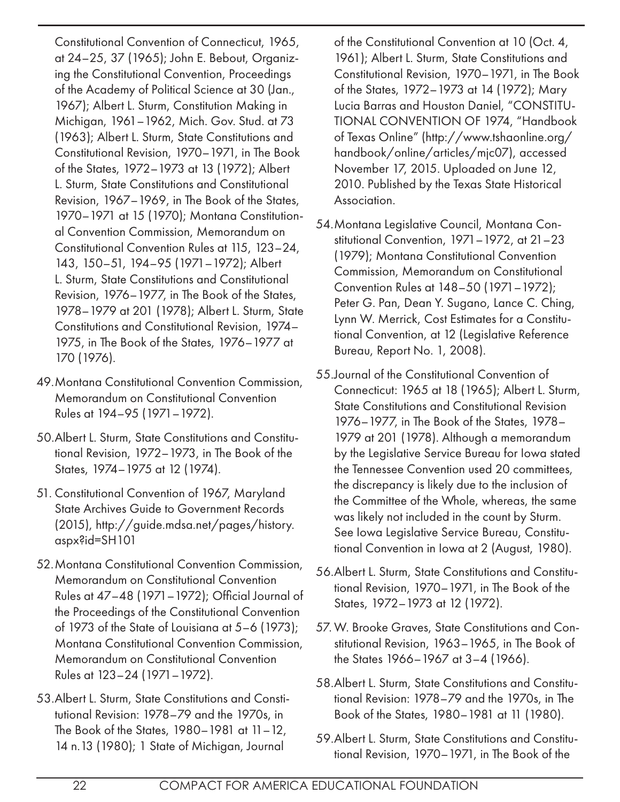Constitutional Convention of Connecticut, 1965, at 24–25, 37 (1965); John E. Bebout, Organizing the Constitutional Convention, Proceedings of the Academy of Political Science at 30 (Jan., 1967); Albert L. Sturm, Constitution Making in Michigan, 1961–1962, Mich. Gov. Stud. at 73 (1963); Albert L. Sturm, State Constitutions and Constitutional Revision, 1970–1971, in The Book of the States, 1972–1973 at 13 (1972); Albert L. Sturm, State Constitutions and Constitutional Revision, 1967–1969, in The Book of the States, 1970–1971 at 15 (1970); Montana Constitutional Convention Commission, Memorandum on Constitutional Convention Rules at 115, 123–24, 143, 150–51, 194–95 (1971–1972); Albert L. Sturm, State Constitutions and Constitutional Revision, 1976–1977, in The Book of the States, 1978–1979 at 201 (1978); Albert L. Sturm, State Constitutions and Constitutional Revision, 1974– 1975, in The Book of the States, 1976–1977 at 170 (1976).

- 49.Montana Constitutional Convention Commission, Memorandum on Constitutional Convention Rules at 194–95 (1971–1972).
- 50.Albert L. Sturm, State Constitutions and Constitutional Revision, 1972–1973, in The Book of the States, 1974–1975 at 12 (1974).
- 51. Constitutional Convention of 1967, Maryland State Archives Guide to Government Records (2015), http://guide.mdsa.net/pages/history. aspx?id=SH101
- 52.Montana Constitutional Convention Commission, Memorandum on Constitutional Convention Rules at 47–48 (1971–1972); Official Journal of the Proceedings of the Constitutional Convention of 1973 of the State of Louisiana at 5–6 (1973); Montana Constitutional Convention Commission, Memorandum on Constitutional Convention Rules at 123–24 (1971–1972).
- 53.Albert L. Sturm, State Constitutions and Constitutional Revision: 1978–79 and the 1970s, in The Book of the States, 1980–1981 at 11–12, 14 n.13 (1980); 1 State of Michigan, Journal

of the Constitutional Convention at 10 (Oct. 4, 1961); Albert L. Sturm, State Constitutions and Constitutional Revision, 1970–1971, in The Book of the States, 1972–1973 at 14 (1972); Mary Lucia Barras and Houston Daniel, "CONSTITU-TIONAL CONVENTION OF 1974, "Handbook of Texas Online" (http://www.tshaonline.org/ handbook/online/articles/mjc07), accessed November 17, 2015. Uploaded on June 12, 2010. Published by the Texas State Historical Association.

- 54.Montana Legislative Council, Montana Constitutional Convention, 1971–1972, at 21–23 (1979); Montana Constitutional Convention Commission, Memorandum on Constitutional Convention Rules at 148–50 (1971–1972); Peter G. Pan, Dean Y. Sugano, Lance C. Ching, Lynn W. Merrick, Cost Estimates for a Constitutional Convention, at 12 (Legislative Reference Bureau, Report No. 1, 2008).
- 55.Journal of the Constitutional Convention of Connecticut: 1965 at 18 (1965); Albert L. Sturm, State Constitutions and Constitutional Revision 1976–1977, in The Book of the States, 1978– 1979 at 201 (1978). Although a memorandum by the Legislative Service Bureau for Iowa stated the Tennessee Convention used 20 committees, the discrepancy is likely due to the inclusion of the Committee of the Whole, whereas, the same was likely not included in the count by Sturm. See Iowa Legislative Service Bureau, Constitutional Convention in Iowa at 2 (August, 1980).
- 56.Albert L. Sturm, State Constitutions and Constitutional Revision, 1970–1971, in The Book of the States, 1972–1973 at 12 (1972).
- 57.W. Brooke Graves, State Constitutions and Constitutional Revision, 1963–1965, in The Book of the States 1966–1967 at 3–4 (1966).
- 58.Albert L. Sturm, State Constitutions and Constitutional Revision: 1978–79 and the 1970s, in The Book of the States, 1980–1981 at 11 (1980).
- 59.Albert L. Sturm, State Constitutions and Constitutional Revision, 1970–1971, in The Book of the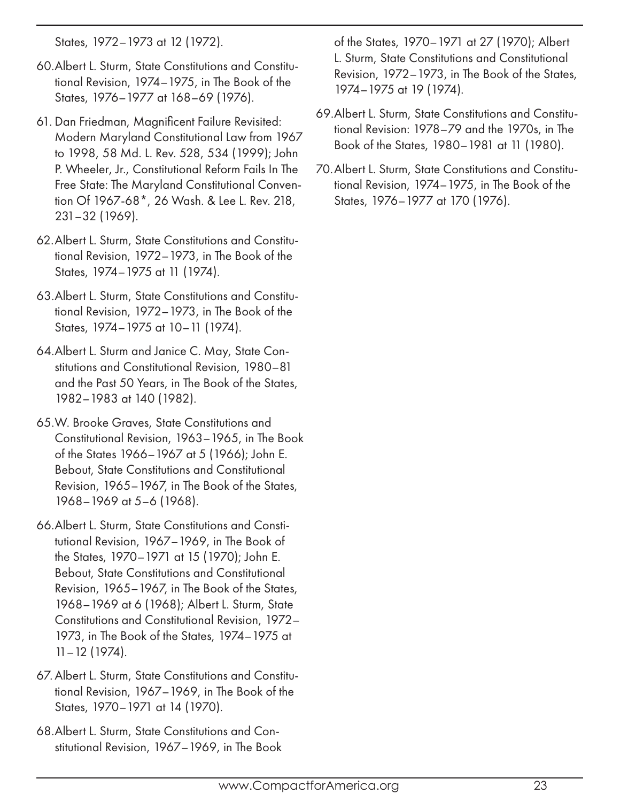States, 1972–1973 at 12 (1972).

- 60.Albert L. Sturm, State Constitutions and Constitutional Revision, 1974–1975, in The Book of the States, 1976–1977 at 168–69 (1976).
- 61. Dan Friedman, Magnificent Failure Revisited: Modern Maryland Constitutional Law from 1967 to 1998, 58 Md. L. Rev. 528, 534 (1999); John P. Wheeler, Jr., Constitutional Reform Fails In The Free State: The Maryland Constitutional Convention Of 1967-68\*, 26 Wash. & Lee L. Rev. 218, 231–32 (1969).
- 62.Albert L. Sturm, State Constitutions and Constitutional Revision, 1972–1973, in The Book of the States, 1974–1975 at 11 (1974).
- 63.Albert L. Sturm, State Constitutions and Constitutional Revision, 1972–1973, in The Book of the States, 1974–1975 at 10–11 (1974).
- 64.Albert L. Sturm and Janice C. May, State Constitutions and Constitutional Revision, 1980–81 and the Past 50 Years, in The Book of the States, 1982–1983 at 140 (1982).
- 65.W. Brooke Graves, State Constitutions and Constitutional Revision, 1963–1965, in The Book of the States 1966–1967 at 5 (1966); John E. Bebout, State Constitutions and Constitutional Revision, 1965–1967, in The Book of the States, 1968–1969 at 5–6 (1968).
- 66.Albert L. Sturm, State Constitutions and Constitutional Revision, 1967–1969, in The Book of the States, 1970–1971 at 15 (1970); John E. Bebout, State Constitutions and Constitutional Revision, 1965–1967, in The Book of the States, 1968–1969 at 6 (1968); Albert L. Sturm, State Constitutions and Constitutional Revision, 1972– 1973, in The Book of the States, 1974–1975 at 11–12 (1974).
- 67.Albert L. Sturm, State Constitutions and Constitutional Revision, 1967–1969, in The Book of the States, 1970–1971 at 14 (1970).
- 68.Albert L. Sturm, State Constitutions and Constitutional Revision, 1967–1969, in The Book

of the States, 1970–1971 at 27 (1970); Albert L. Sturm, State Constitutions and Constitutional Revision, 1972–1973, in The Book of the States, 1974–1975 at 19 (1974).

- 69.Albert L. Sturm, State Constitutions and Constitutional Revision: 1978–79 and the 1970s, in The Book of the States, 1980–1981 at 11 (1980).
- 70.Albert L. Sturm, State Constitutions and Constitutional Revision, 1974–1975, in The Book of the States, 1976–1977 at 170 (1976).